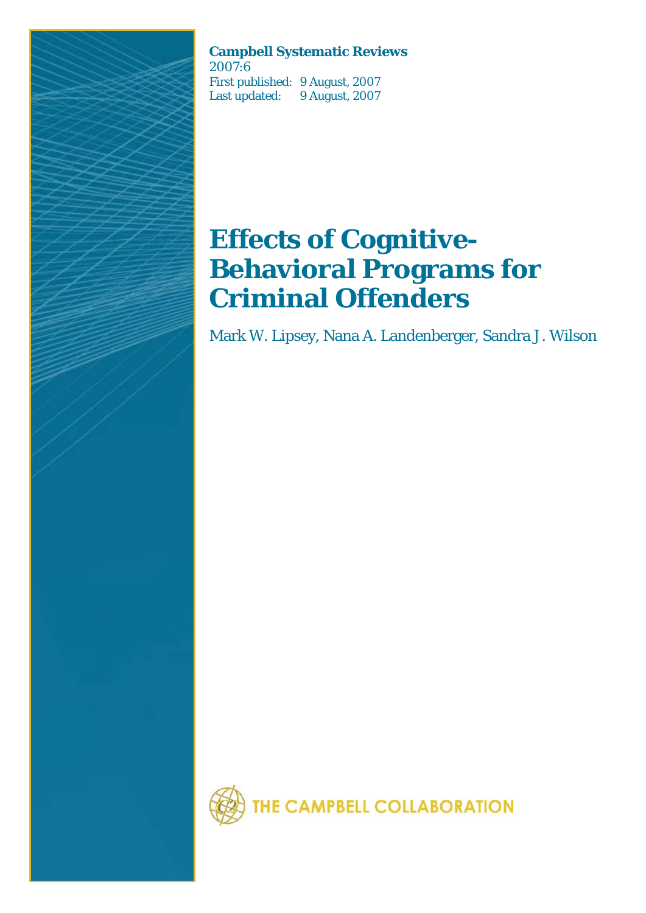# **Campbell Systematic Reviews**  2007:6

First published: 9 August, 2007 Last updated: 9 August, 2007

# **Effects of Cognitive-Behavioral Programs for Criminal Offenders**

Mark W. Lipsey, Nana A. Landenberger, Sandra J. Wilson

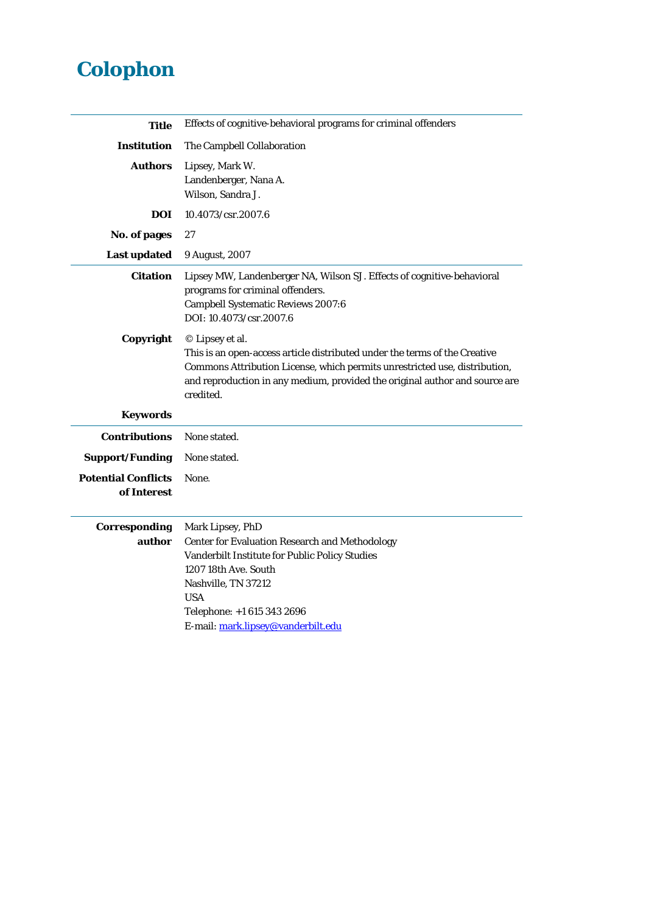# **Colophon**

| Title                                     | Effects of cognitive-behavioral programs for criminal offenders                                                                                                                                                                                                         |  |  |  |  |  |  |
|-------------------------------------------|-------------------------------------------------------------------------------------------------------------------------------------------------------------------------------------------------------------------------------------------------------------------------|--|--|--|--|--|--|
| <b>Institution</b>                        | The Campbell Collaboration                                                                                                                                                                                                                                              |  |  |  |  |  |  |
| <b>Authors</b>                            | Lipsey, Mark W.                                                                                                                                                                                                                                                         |  |  |  |  |  |  |
|                                           | Landenberger, Nana A.                                                                                                                                                                                                                                                   |  |  |  |  |  |  |
|                                           | Wilson, Sandra J.                                                                                                                                                                                                                                                       |  |  |  |  |  |  |
| <b>DOI</b>                                | 10.4073/csr.2007.6                                                                                                                                                                                                                                                      |  |  |  |  |  |  |
| No. of pages                              | 27                                                                                                                                                                                                                                                                      |  |  |  |  |  |  |
| <b>Last updated</b>                       | 9 August, 2007                                                                                                                                                                                                                                                          |  |  |  |  |  |  |
| <b>Citation</b>                           | Lipsey MW, Landenberger NA, Wilson SJ. Effects of cognitive-behavioral<br>programs for criminal offenders.<br><b>Campbell Systematic Reviews 2007:6</b><br>DOI: 10.4073/csr.2007.6                                                                                      |  |  |  |  |  |  |
| Copyright                                 | © Lipsey et al.<br>This is an open-access article distributed under the terms of the Creative<br>Commons Attribution License, which permits unrestricted use, distribution,<br>and reproduction in any medium, provided the original author and source are<br>credited. |  |  |  |  |  |  |
| <b>Keywords</b>                           |                                                                                                                                                                                                                                                                         |  |  |  |  |  |  |
| <b>Contributions</b>                      | None stated.                                                                                                                                                                                                                                                            |  |  |  |  |  |  |
| <b>Support/Funding</b>                    | None stated.                                                                                                                                                                                                                                                            |  |  |  |  |  |  |
| <b>Potential Conflicts</b><br>of Interest | None.                                                                                                                                                                                                                                                                   |  |  |  |  |  |  |
| Corresponding<br>author                   | Mark Lipsey, PhD                                                                                                                                                                                                                                                        |  |  |  |  |  |  |
|                                           | <b>Center for Evaluation Research and Methodology</b><br>Vanderbilt Institute for Public Policy Studies                                                                                                                                                                 |  |  |  |  |  |  |
|                                           | 1207 18th Ave. South                                                                                                                                                                                                                                                    |  |  |  |  |  |  |
|                                           | Nashville, TN 37212                                                                                                                                                                                                                                                     |  |  |  |  |  |  |
|                                           | <b>USA</b>                                                                                                                                                                                                                                                              |  |  |  |  |  |  |
|                                           | Telephone: +1 615 343 2696                                                                                                                                                                                                                                              |  |  |  |  |  |  |
|                                           | E-mail: mark.lipsey@vanderbilt.edu                                                                                                                                                                                                                                      |  |  |  |  |  |  |
|                                           |                                                                                                                                                                                                                                                                         |  |  |  |  |  |  |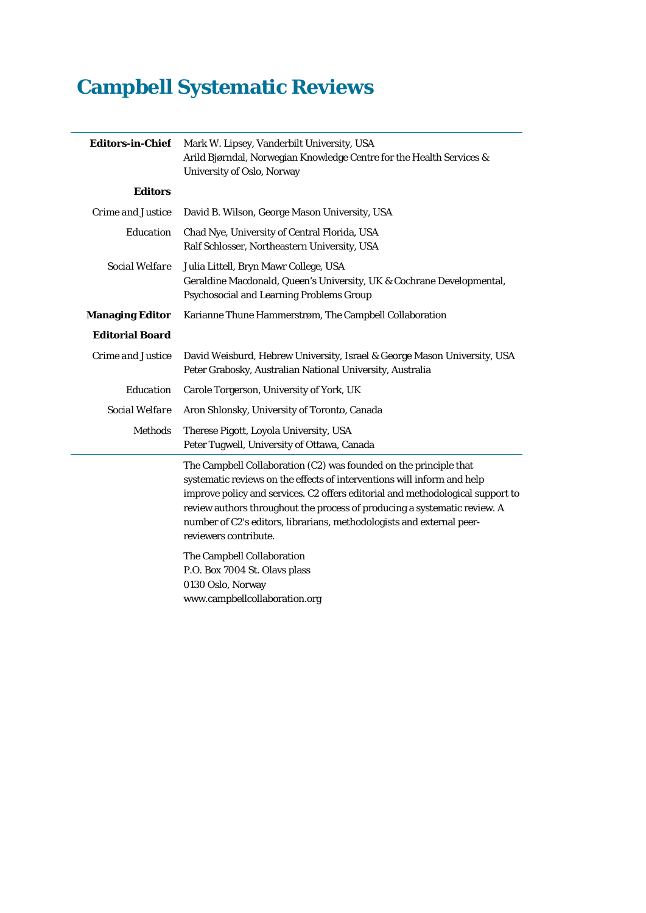# **Campbell Systematic Reviews**

| <b>Editors-in-Chief</b>  | Mark W. Lipsey, Vanderbilt University, USA<br>Arild Bjørndal, Norwegian Knowledge Centre for the Health Services &<br>University of Oslo, Norway                                                                                                                                                                                                                                                              |  |  |  |
|--------------------------|---------------------------------------------------------------------------------------------------------------------------------------------------------------------------------------------------------------------------------------------------------------------------------------------------------------------------------------------------------------------------------------------------------------|--|--|--|
| <b>Editors</b>           |                                                                                                                                                                                                                                                                                                                                                                                                               |  |  |  |
| <b>Crime and Justice</b> | David B. Wilson, George Mason University, USA                                                                                                                                                                                                                                                                                                                                                                 |  |  |  |
| Education                | Chad Nye, University of Central Florida, USA<br>Ralf Schlosser, Northeastern University, USA                                                                                                                                                                                                                                                                                                                  |  |  |  |
| <b>Social Welfare</b>    | Julia Littell, Bryn Mawr College, USA<br>Geraldine Macdonald, Queen's University, UK & Cochrane Developmental,<br><b>Psychosocial and Learning Problems Group</b>                                                                                                                                                                                                                                             |  |  |  |
| <b>Managing Editor</b>   | Karianne Thune Hammerstrøm, The Campbell Collaboration                                                                                                                                                                                                                                                                                                                                                        |  |  |  |
| <b>Editorial Board</b>   |                                                                                                                                                                                                                                                                                                                                                                                                               |  |  |  |
| <b>Crime and Justice</b> | David Weisburd, Hebrew University, Israel & George Mason University, USA<br>Peter Grabosky, Australian National University, Australia                                                                                                                                                                                                                                                                         |  |  |  |
| Education                | Carole Torgerson, University of York, UK                                                                                                                                                                                                                                                                                                                                                                      |  |  |  |
| Social Welfare           | Aron Shlonsky, University of Toronto, Canada                                                                                                                                                                                                                                                                                                                                                                  |  |  |  |
| <b>Methods</b>           | Therese Pigott, Loyola University, USA<br>Peter Tugwell, University of Ottawa, Canada                                                                                                                                                                                                                                                                                                                         |  |  |  |
|                          | The Campbell Collaboration (C2) was founded on the principle that<br>systematic reviews on the effects of interventions will inform and help<br>improve policy and services. C2 offers editorial and methodological support to<br>review authors throughout the process of producing a systematic review. A<br>number of C2's editors, librarians, methodologists and external peer-<br>reviewers contribute. |  |  |  |
|                          | The Campbell Collaboration<br>P.O. Box 7004 St. Olavs plass<br>0130 Oslo, Norway<br>www.campbellcollaboration.org                                                                                                                                                                                                                                                                                             |  |  |  |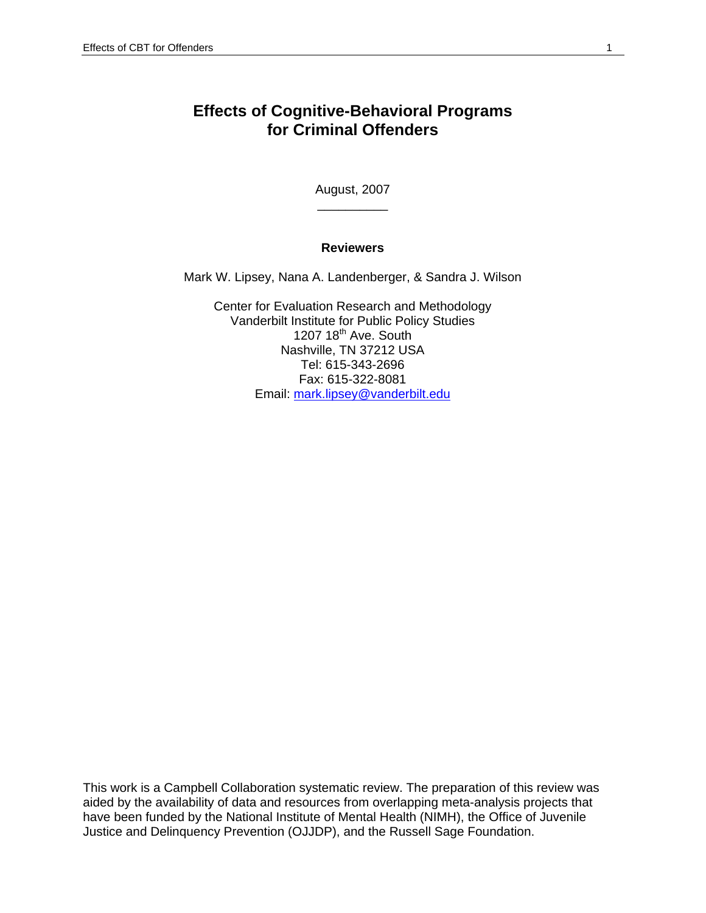# **Effects of Cognitive-Behavioral Programs for Criminal Offenders**

August, 2007 \_\_\_\_\_\_\_\_\_\_

#### **Reviewers**

Mark W. Lipsey, Nana A. Landenberger, & Sandra J. Wilson

Center for Evaluation Research and Methodology Vanderbilt Institute for Public Policy Studies 1207 18<sup>th</sup> Ave. South Nashville, TN 37212 USA Tel: 615-343-2696 Fax: 615-322-8081 Email: mark.lipsey@vanderbilt.edu

This work is a Campbell Collaboration systematic review. The preparation of this review was aided by the availability of data and resources from overlapping meta-analysis projects that have been funded by the National Institute of Mental Health (NIMH), the Office of Juvenile Justice and Delinquency Prevention (OJJDP), and the Russell Sage Foundation.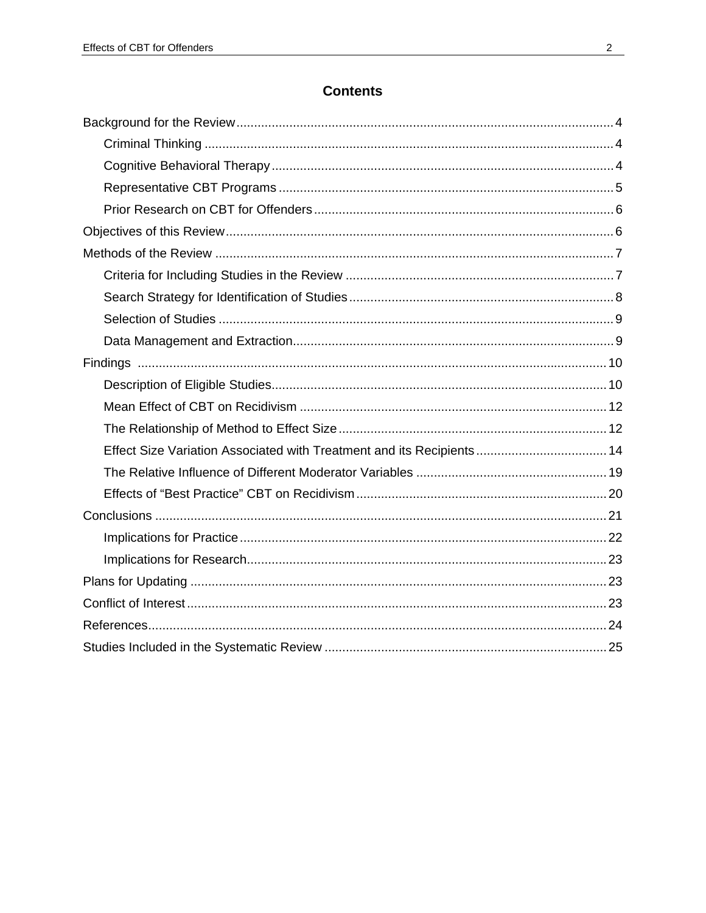# **Contents**

| Effect Size Variation Associated with Treatment and its Recipients 14 |  |
|-----------------------------------------------------------------------|--|
|                                                                       |  |
|                                                                       |  |
|                                                                       |  |
|                                                                       |  |
|                                                                       |  |
|                                                                       |  |
|                                                                       |  |
|                                                                       |  |
|                                                                       |  |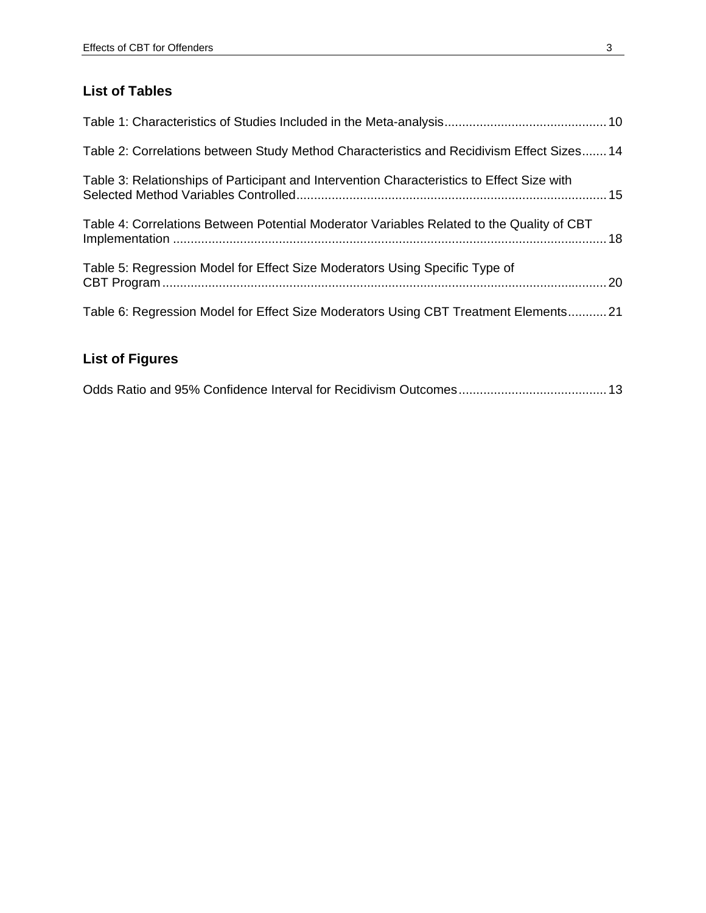# **List of Tables**

| Table 2: Correlations between Study Method Characteristics and Recidivism Effect Sizes 14  |  |
|--------------------------------------------------------------------------------------------|--|
| Table 3: Relationships of Participant and Intervention Characteristics to Effect Size with |  |
| Table 4: Correlations Between Potential Moderator Variables Related to the Quality of CBT  |  |
| Table 5: Regression Model for Effect Size Moderators Using Specific Type of                |  |
| Table 6: Regression Model for Effect Size Moderators Using CBT Treatment Elements 21       |  |

# **List of Figures**

|--|--|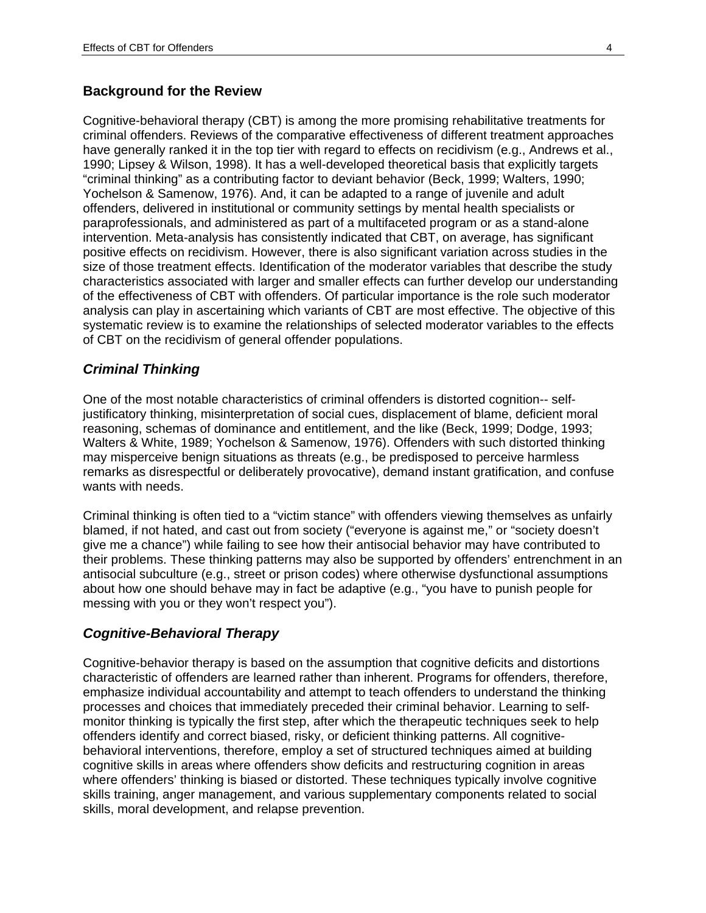#### **Background for the Review**

Cognitive-behavioral therapy (CBT) is among the more promising rehabilitative treatments for criminal offenders. Reviews of the comparative effectiveness of different treatment approaches have generally ranked it in the top tier with regard to effects on recidivism (e.g., Andrews et al., 1990; Lipsey & Wilson, 1998). It has a well-developed theoretical basis that explicitly targets "criminal thinking" as a contributing factor to deviant behavior (Beck, 1999; Walters, 1990; Yochelson & Samenow, 1976). And, it can be adapted to a range of juvenile and adult offenders, delivered in institutional or community settings by mental health specialists or paraprofessionals, and administered as part of a multifaceted program or as a stand-alone intervention. Meta-analysis has consistently indicated that CBT, on average, has significant positive effects on recidivism. However, there is also significant variation across studies in the size of those treatment effects. Identification of the moderator variables that describe the study characteristics associated with larger and smaller effects can further develop our understanding of the effectiveness of CBT with offenders. Of particular importance is the role such moderator analysis can play in ascertaining which variants of CBT are most effective. The objective of this systematic review is to examine the relationships of selected moderator variables to the effects of CBT on the recidivism of general offender populations.

#### *Criminal Thinking*

One of the most notable characteristics of criminal offenders is distorted cognition-- selfjustificatory thinking, misinterpretation of social cues, displacement of blame, deficient moral reasoning, schemas of dominance and entitlement, and the like (Beck, 1999; Dodge, 1993; Walters & White, 1989; Yochelson & Samenow, 1976). Offenders with such distorted thinking may misperceive benign situations as threats (e.g., be predisposed to perceive harmless remarks as disrespectful or deliberately provocative), demand instant gratification, and confuse wants with needs.

Criminal thinking is often tied to a "victim stance" with offenders viewing themselves as unfairly blamed, if not hated, and cast out from society ("everyone is against me," or "society doesn't give me a chance") while failing to see how their antisocial behavior may have contributed to their problems. These thinking patterns may also be supported by offenders' entrenchment in an antisocial subculture (e.g., street or prison codes) where otherwise dysfunctional assumptions about how one should behave may in fact be adaptive (e.g., "you have to punish people for messing with you or they won't respect you").

#### *Cognitive-Behavioral Therapy*

Cognitive-behavior therapy is based on the assumption that cognitive deficits and distortions characteristic of offenders are learned rather than inherent. Programs for offenders, therefore, emphasize individual accountability and attempt to teach offenders to understand the thinking processes and choices that immediately preceded their criminal behavior. Learning to selfmonitor thinking is typically the first step, after which the therapeutic techniques seek to help offenders identify and correct biased, risky, or deficient thinking patterns. All cognitivebehavioral interventions, therefore, employ a set of structured techniques aimed at building cognitive skills in areas where offenders show deficits and restructuring cognition in areas where offenders' thinking is biased or distorted. These techniques typically involve cognitive skills training, anger management, and various supplementary components related to social skills, moral development, and relapse prevention.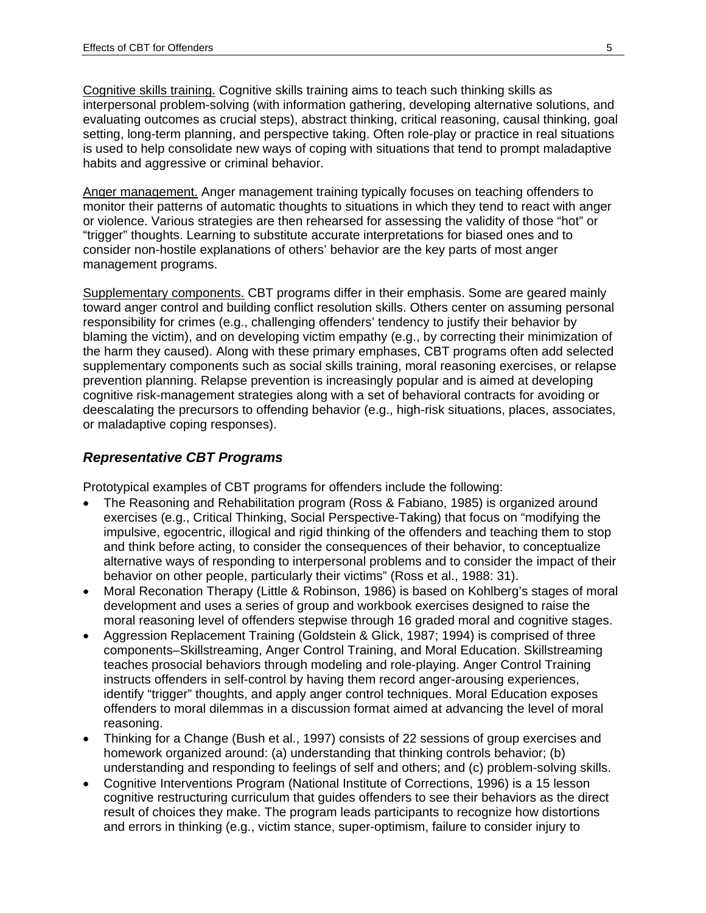Cognitive skills training. Cognitive skills training aims to teach such thinking skills as interpersonal problem-solving (with information gathering, developing alternative solutions, and evaluating outcomes as crucial steps), abstract thinking, critical reasoning, causal thinking, goal setting, long-term planning, and perspective taking. Often role-play or practice in real situations is used to help consolidate new ways of coping with situations that tend to prompt maladaptive habits and aggressive or criminal behavior.

Anger management. Anger management training typically focuses on teaching offenders to monitor their patterns of automatic thoughts to situations in which they tend to react with anger or violence. Various strategies are then rehearsed for assessing the validity of those "hot" or "trigger" thoughts. Learning to substitute accurate interpretations for biased ones and to consider non-hostile explanations of others' behavior are the key parts of most anger management programs.

Supplementary components. CBT programs differ in their emphasis. Some are geared mainly toward anger control and building conflict resolution skills. Others center on assuming personal responsibility for crimes (e.g., challenging offenders' tendency to justify their behavior by blaming the victim), and on developing victim empathy (e.g., by correcting their minimization of the harm they caused). Along with these primary emphases, CBT programs often add selected supplementary components such as social skills training, moral reasoning exercises, or relapse prevention planning. Relapse prevention is increasingly popular and is aimed at developing cognitive risk-management strategies along with a set of behavioral contracts for avoiding or deescalating the precursors to offending behavior (e.g., high-risk situations, places, associates, or maladaptive coping responses).

#### *Representative CBT Programs*

Prototypical examples of CBT programs for offenders include the following:

- The Reasoning and Rehabilitation program (Ross & Fabiano, 1985) is organized around exercises (e.g., Critical Thinking, Social Perspective-Taking) that focus on "modifying the impulsive, egocentric, illogical and rigid thinking of the offenders and teaching them to stop and think before acting, to consider the consequences of their behavior, to conceptualize alternative ways of responding to interpersonal problems and to consider the impact of their behavior on other people, particularly their victims" (Ross et al., 1988: 31).
- Moral Reconation Therapy (Little & Robinson, 1986) is based on Kohlberg's stages of moral development and uses a series of group and workbook exercises designed to raise the moral reasoning level of offenders stepwise through 16 graded moral and cognitive stages.
- Aggression Replacement Training (Goldstein & Glick, 1987; 1994) is comprised of three components–Skillstreaming, Anger Control Training, and Moral Education. Skillstreaming teaches prosocial behaviors through modeling and role-playing. Anger Control Training instructs offenders in self-control by having them record anger-arousing experiences, identify "trigger" thoughts, and apply anger control techniques. Moral Education exposes offenders to moral dilemmas in a discussion format aimed at advancing the level of moral reasoning.
- Thinking for a Change (Bush et al., 1997) consists of 22 sessions of group exercises and homework organized around: (a) understanding that thinking controls behavior; (b) understanding and responding to feelings of self and others; and (c) problem-solving skills.
- Cognitive Interventions Program (National Institute of Corrections, 1996) is a 15 lesson cognitive restructuring curriculum that guides offenders to see their behaviors as the direct result of choices they make. The program leads participants to recognize how distortions and errors in thinking (e.g., victim stance, super-optimism, failure to consider injury to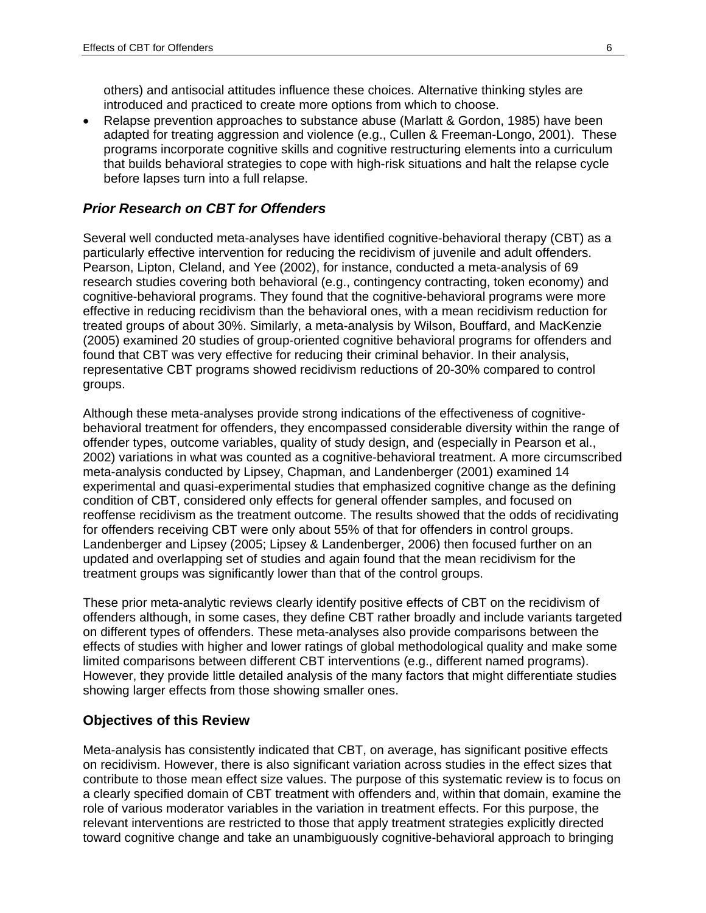others) and antisocial attitudes influence these choices. Alternative thinking styles are introduced and practiced to create more options from which to choose.

• Relapse prevention approaches to substance abuse (Marlatt & Gordon, 1985) have been adapted for treating aggression and violence (e.g., Cullen & Freeman-Longo, 2001). These programs incorporate cognitive skills and cognitive restructuring elements into a curriculum that builds behavioral strategies to cope with high-risk situations and halt the relapse cycle before lapses turn into a full relapse.

#### *Prior Research on CBT for Offenders*

Several well conducted meta-analyses have identified cognitive-behavioral therapy (CBT) as a particularly effective intervention for reducing the recidivism of juvenile and adult offenders. Pearson, Lipton, Cleland, and Yee (2002), for instance, conducted a meta-analysis of 69 research studies covering both behavioral (e.g., contingency contracting, token economy) and cognitive-behavioral programs. They found that the cognitive-behavioral programs were more effective in reducing recidivism than the behavioral ones, with a mean recidivism reduction for treated groups of about 30%. Similarly, a meta-analysis by Wilson, Bouffard, and MacKenzie (2005) examined 20 studies of group-oriented cognitive behavioral programs for offenders and found that CBT was very effective for reducing their criminal behavior. In their analysis, representative CBT programs showed recidivism reductions of 20-30% compared to control groups.

Although these meta-analyses provide strong indications of the effectiveness of cognitivebehavioral treatment for offenders, they encompassed considerable diversity within the range of offender types, outcome variables, quality of study design, and (especially in Pearson et al., 2002) variations in what was counted as a cognitive-behavioral treatment. A more circumscribed meta-analysis conducted by Lipsey, Chapman, and Landenberger (2001) examined 14 experimental and quasi-experimental studies that emphasized cognitive change as the defining condition of CBT, considered only effects for general offender samples, and focused on reoffense recidivism as the treatment outcome. The results showed that the odds of recidivating for offenders receiving CBT were only about 55% of that for offenders in control groups. Landenberger and Lipsey (2005; Lipsey & Landenberger, 2006) then focused further on an updated and overlapping set of studies and again found that the mean recidivism for the treatment groups was significantly lower than that of the control groups.

These prior meta-analytic reviews clearly identify positive effects of CBT on the recidivism of offenders although, in some cases, they define CBT rather broadly and include variants targeted on different types of offenders. These meta-analyses also provide comparisons between the effects of studies with higher and lower ratings of global methodological quality and make some limited comparisons between different CBT interventions (e.g., different named programs). However, they provide little detailed analysis of the many factors that might differentiate studies showing larger effects from those showing smaller ones.

#### **Objectives of this Review**

Meta-analysis has consistently indicated that CBT, on average, has significant positive effects on recidivism. However, there is also significant variation across studies in the effect sizes that contribute to those mean effect size values. The purpose of this systematic review is to focus on a clearly specified domain of CBT treatment with offenders and, within that domain, examine the role of various moderator variables in the variation in treatment effects. For this purpose, the relevant interventions are restricted to those that apply treatment strategies explicitly directed toward cognitive change and take an unambiguously cognitive-behavioral approach to bringing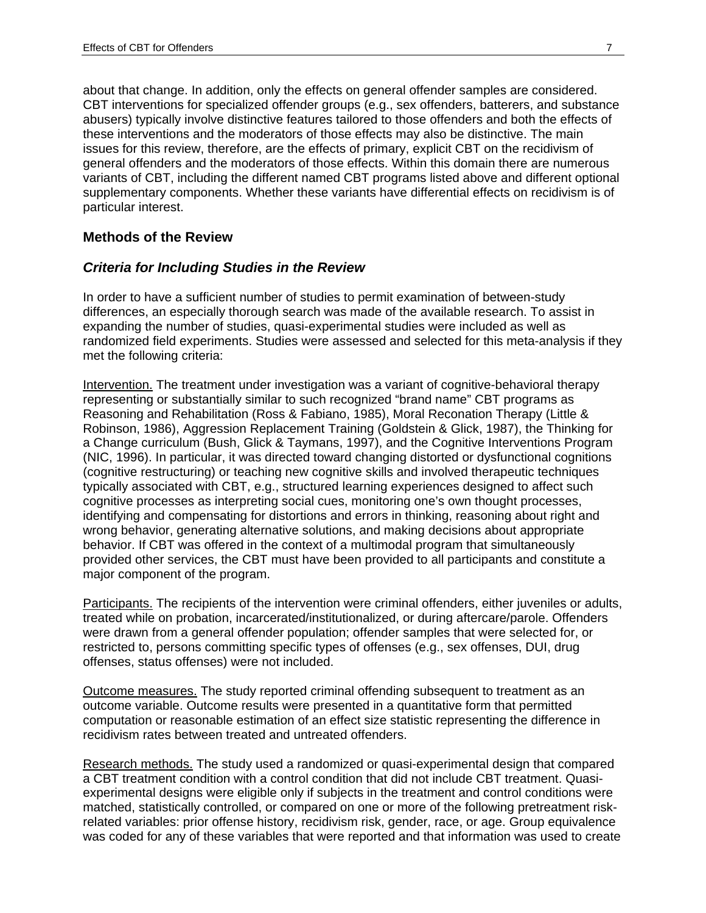about that change. In addition, only the effects on general offender samples are considered. CBT interventions for specialized offender groups (e.g., sex offenders, batterers, and substance abusers) typically involve distinctive features tailored to those offenders and both the effects of these interventions and the moderators of those effects may also be distinctive. The main issues for this review, therefore, are the effects of primary, explicit CBT on the recidivism of general offenders and the moderators of those effects. Within this domain there are numerous variants of CBT, including the different named CBT programs listed above and different optional supplementary components. Whether these variants have differential effects on recidivism is of particular interest.

#### **Methods of the Review**

#### *Criteria for Including Studies in the Review*

In order to have a sufficient number of studies to permit examination of between-study differences, an especially thorough search was made of the available research. To assist in expanding the number of studies, quasi-experimental studies were included as well as randomized field experiments. Studies were assessed and selected for this meta-analysis if they met the following criteria:

Intervention. The treatment under investigation was a variant of cognitive-behavioral therapy representing or substantially similar to such recognized "brand name" CBT programs as Reasoning and Rehabilitation (Ross & Fabiano, 1985), Moral Reconation Therapy (Little & Robinson, 1986), Aggression Replacement Training (Goldstein & Glick, 1987), the Thinking for a Change curriculum (Bush, Glick & Taymans, 1997), and the Cognitive Interventions Program (NIC, 1996). In particular, it was directed toward changing distorted or dysfunctional cognitions (cognitive restructuring) or teaching new cognitive skills and involved therapeutic techniques typically associated with CBT, e.g., structured learning experiences designed to affect such cognitive processes as interpreting social cues, monitoring one's own thought processes, identifying and compensating for distortions and errors in thinking, reasoning about right and wrong behavior, generating alternative solutions, and making decisions about appropriate behavior. If CBT was offered in the context of a multimodal program that simultaneously provided other services, the CBT must have been provided to all participants and constitute a major component of the program.

Participants. The recipients of the intervention were criminal offenders, either juveniles or adults, treated while on probation, incarcerated/institutionalized, or during aftercare/parole. Offenders were drawn from a general offender population; offender samples that were selected for, or restricted to, persons committing specific types of offenses (e.g., sex offenses, DUI, drug offenses, status offenses) were not included.

Outcome measures. The study reported criminal offending subsequent to treatment as an outcome variable. Outcome results were presented in a quantitative form that permitted computation or reasonable estimation of an effect size statistic representing the difference in recidivism rates between treated and untreated offenders.

Research methods. The study used a randomized or quasi-experimental design that compared a CBT treatment condition with a control condition that did not include CBT treatment. Quasiexperimental designs were eligible only if subjects in the treatment and control conditions were matched, statistically controlled, or compared on one or more of the following pretreatment riskrelated variables: prior offense history, recidivism risk, gender, race, or age. Group equivalence was coded for any of these variables that were reported and that information was used to create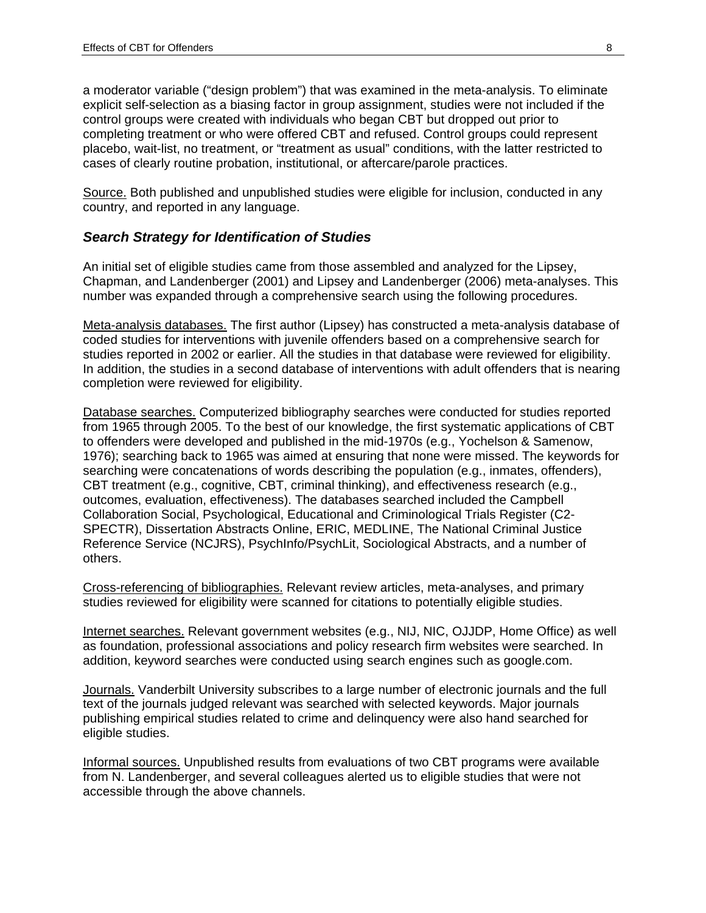a moderator variable ("design problem") that was examined in the meta-analysis. To eliminate explicit self-selection as a biasing factor in group assignment, studies were not included if the control groups were created with individuals who began CBT but dropped out prior to completing treatment or who were offered CBT and refused. Control groups could represent placebo, wait-list, no treatment, or "treatment as usual" conditions, with the latter restricted to cases of clearly routine probation, institutional, or aftercare/parole practices.

Source. Both published and unpublished studies were eligible for inclusion, conducted in any country, and reported in any language.

#### *Search Strategy for Identification of Studies*

An initial set of eligible studies came from those assembled and analyzed for the Lipsey, Chapman, and Landenberger (2001) and Lipsey and Landenberger (2006) meta-analyses. This number was expanded through a comprehensive search using the following procedures.

Meta-analysis databases. The first author (Lipsey) has constructed a meta-analysis database of coded studies for interventions with juvenile offenders based on a comprehensive search for studies reported in 2002 or earlier. All the studies in that database were reviewed for eligibility. In addition, the studies in a second database of interventions with adult offenders that is nearing completion were reviewed for eligibility.

Database searches. Computerized bibliography searches were conducted for studies reported from 1965 through 2005. To the best of our knowledge, the first systematic applications of CBT to offenders were developed and published in the mid-1970s (e.g., Yochelson & Samenow, 1976); searching back to 1965 was aimed at ensuring that none were missed. The keywords for searching were concatenations of words describing the population (e.g., inmates, offenders), CBT treatment (e.g., cognitive, CBT, criminal thinking), and effectiveness research (e.g., outcomes, evaluation, effectiveness). The databases searched included the Campbell Collaboration Social, Psychological, Educational and Criminological Trials Register (C2- SPECTR), Dissertation Abstracts Online, ERIC, MEDLINE, The National Criminal Justice Reference Service (NCJRS), PsychInfo/PsychLit, Sociological Abstracts, and a number of others.

Cross-referencing of bibliographies. Relevant review articles, meta-analyses, and primary studies reviewed for eligibility were scanned for citations to potentially eligible studies.

Internet searches. Relevant government websites (e.g., NIJ, NIC, OJJDP, Home Office) as well as foundation, professional associations and policy research firm websites were searched. In addition, keyword searches were conducted using search engines such as google.com.

Journals. Vanderbilt University subscribes to a large number of electronic journals and the full text of the journals judged relevant was searched with selected keywords. Major journals publishing empirical studies related to crime and delinquency were also hand searched for eligible studies.

Informal sources. Unpublished results from evaluations of two CBT programs were available from N. Landenberger, and several colleagues alerted us to eligible studies that were not accessible through the above channels.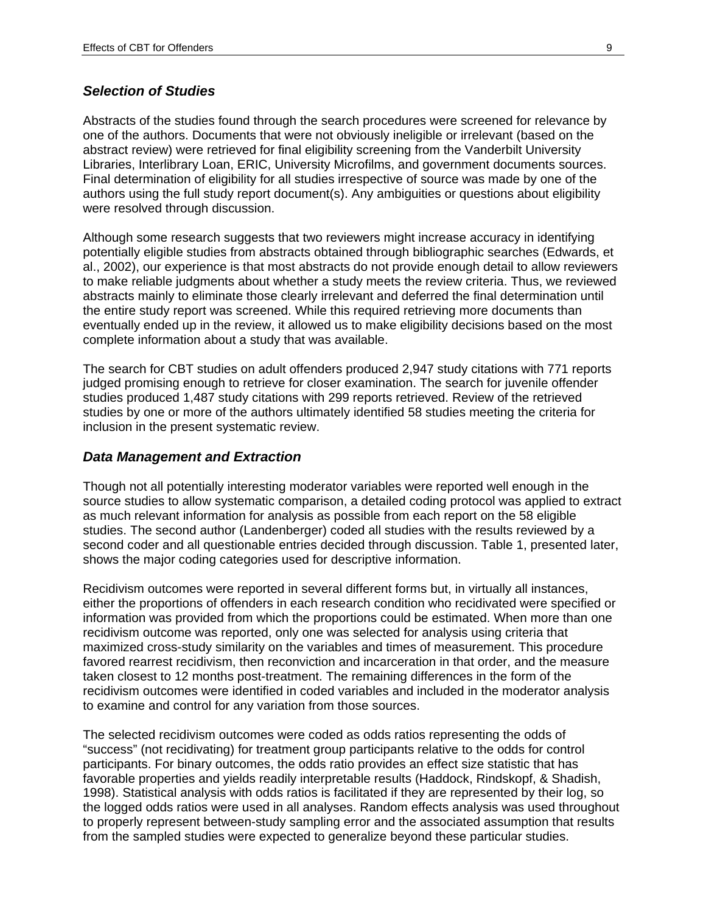#### *Selection of Studies*

Abstracts of the studies found through the search procedures were screened for relevance by one of the authors. Documents that were not obviously ineligible or irrelevant (based on the abstract review) were retrieved for final eligibility screening from the Vanderbilt University Libraries, Interlibrary Loan, ERIC, University Microfilms, and government documents sources. Final determination of eligibility for all studies irrespective of source was made by one of the authors using the full study report document(s). Any ambiguities or questions about eligibility were resolved through discussion.

Although some research suggests that two reviewers might increase accuracy in identifying potentially eligible studies from abstracts obtained through bibliographic searches (Edwards, et al., 2002), our experience is that most abstracts do not provide enough detail to allow reviewers to make reliable judgments about whether a study meets the review criteria. Thus, we reviewed abstracts mainly to eliminate those clearly irrelevant and deferred the final determination until the entire study report was screened. While this required retrieving more documents than eventually ended up in the review, it allowed us to make eligibility decisions based on the most complete information about a study that was available.

The search for CBT studies on adult offenders produced 2,947 study citations with 771 reports judged promising enough to retrieve for closer examination. The search for juvenile offender studies produced 1,487 study citations with 299 reports retrieved. Review of the retrieved studies by one or more of the authors ultimately identified 58 studies meeting the criteria for inclusion in the present systematic review.

#### *Data Management and Extraction*

Though not all potentially interesting moderator variables were reported well enough in the source studies to allow systematic comparison, a detailed coding protocol was applied to extract as much relevant information for analysis as possible from each report on the 58 eligible studies. The second author (Landenberger) coded all studies with the results reviewed by a second coder and all questionable entries decided through discussion. Table 1, presented later, shows the major coding categories used for descriptive information.

Recidivism outcomes were reported in several different forms but, in virtually all instances, either the proportions of offenders in each research condition who recidivated were specified or information was provided from which the proportions could be estimated. When more than one recidivism outcome was reported, only one was selected for analysis using criteria that maximized cross-study similarity on the variables and times of measurement. This procedure favored rearrest recidivism, then reconviction and incarceration in that order, and the measure taken closest to 12 months post-treatment. The remaining differences in the form of the recidivism outcomes were identified in coded variables and included in the moderator analysis to examine and control for any variation from those sources.

The selected recidivism outcomes were coded as odds ratios representing the odds of "success" (not recidivating) for treatment group participants relative to the odds for control participants. For binary outcomes, the odds ratio provides an effect size statistic that has favorable properties and yields readily interpretable results (Haddock, Rindskopf, & Shadish, 1998). Statistical analysis with odds ratios is facilitated if they are represented by their log, so the logged odds ratios were used in all analyses. Random effects analysis was used throughout to properly represent between-study sampling error and the associated assumption that results from the sampled studies were expected to generalize beyond these particular studies.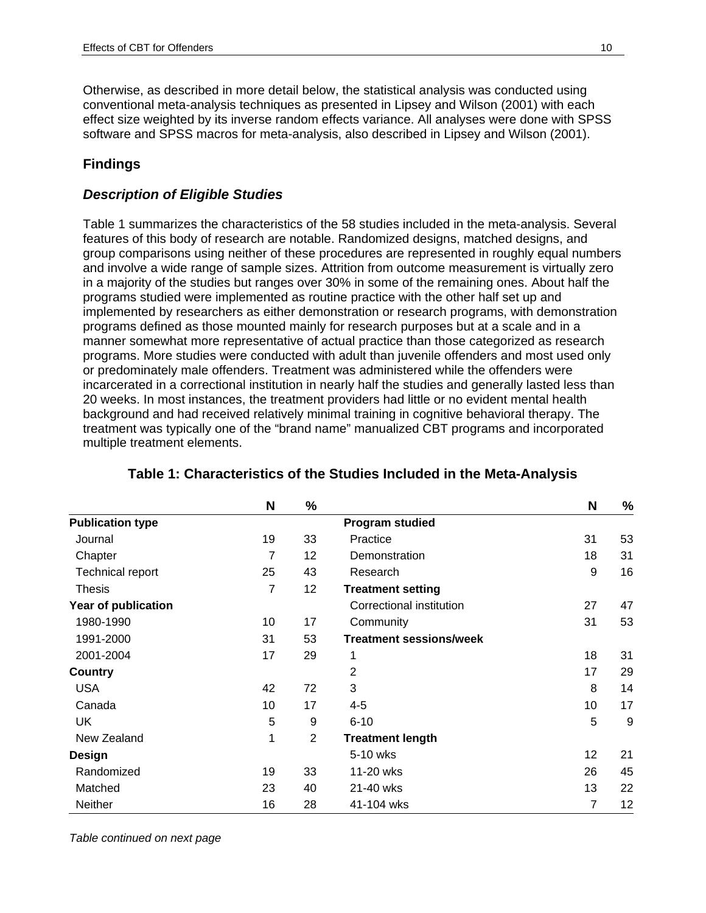Otherwise, as described in more detail below, the statistical analysis was conducted using conventional meta-analysis techniques as presented in Lipsey and Wilson (2001) with each effect size weighted by its inverse random effects variance. All analyses were done with SPSS software and SPSS macros for meta-analysis, also described in Lipsey and Wilson (2001).

# **Findings**

# *Description of Eligible Studies*

Table 1 summarizes the characteristics of the 58 studies included in the meta-analysis. Several features of this body of research are notable. Randomized designs, matched designs, and group comparisons using neither of these procedures are represented in roughly equal numbers and involve a wide range of sample sizes. Attrition from outcome measurement is virtually zero in a majority of the studies but ranges over 30% in some of the remaining ones. About half the programs studied were implemented as routine practice with the other half set up and implemented by researchers as either demonstration or research programs, with demonstration programs defined as those mounted mainly for research purposes but at a scale and in a manner somewhat more representative of actual practice than those categorized as research programs. More studies were conducted with adult than juvenile offenders and most used only or predominately male offenders. Treatment was administered while the offenders were incarcerated in a correctional institution in nearly half the studies and generally lasted less than 20 weeks. In most instances, the treatment providers had little or no evident mental health background and had received relatively minimal training in cognitive behavioral therapy. The treatment was typically one of the "brand name" manualized CBT programs and incorporated multiple treatment elements.

|                         | N  | %              |                                | N  | %  |
|-------------------------|----|----------------|--------------------------------|----|----|
| <b>Publication type</b> |    |                | <b>Program studied</b>         |    |    |
| Journal                 | 19 | 33             | Practice                       | 31 | 53 |
| Chapter                 | 7  | 12             | Demonstration                  | 18 | 31 |
| <b>Technical report</b> | 25 | 43             | Research                       | 9  | 16 |
| <b>Thesis</b>           | 7  | 12             | <b>Treatment setting</b>       |    |    |
| Year of publication     |    |                | Correctional institution       | 27 | 47 |
| 1980-1990               | 10 | 17             | Community                      | 31 | 53 |
| 1991-2000               | 31 | 53             | <b>Treatment sessions/week</b> |    |    |
| 2001-2004               | 17 | 29             | 1                              | 18 | 31 |
| Country                 |    |                | $\overline{2}$                 | 17 | 29 |
| <b>USA</b>              | 42 | 72             | 3                              | 8  | 14 |
| Canada                  | 10 | 17             | $4 - 5$                        | 10 | 17 |
| <b>UK</b>               | 5  | 9              | $6 - 10$                       | 5  | 9  |
| New Zealand             | 1  | $\overline{2}$ | <b>Treatment length</b>        |    |    |
| <b>Design</b>           |    |                | 5-10 wks                       | 12 | 21 |
| Randomized              | 19 | 33             | 11-20 wks                      | 26 | 45 |
| Matched                 | 23 | 40             | 21-40 wks                      | 13 | 22 |
| <b>Neither</b>          | 16 | 28             | 41-104 wks                     | 7  | 12 |

# **Table 1: Characteristics of the Studies Included in the Meta-Analysis**

*Table continued on next page*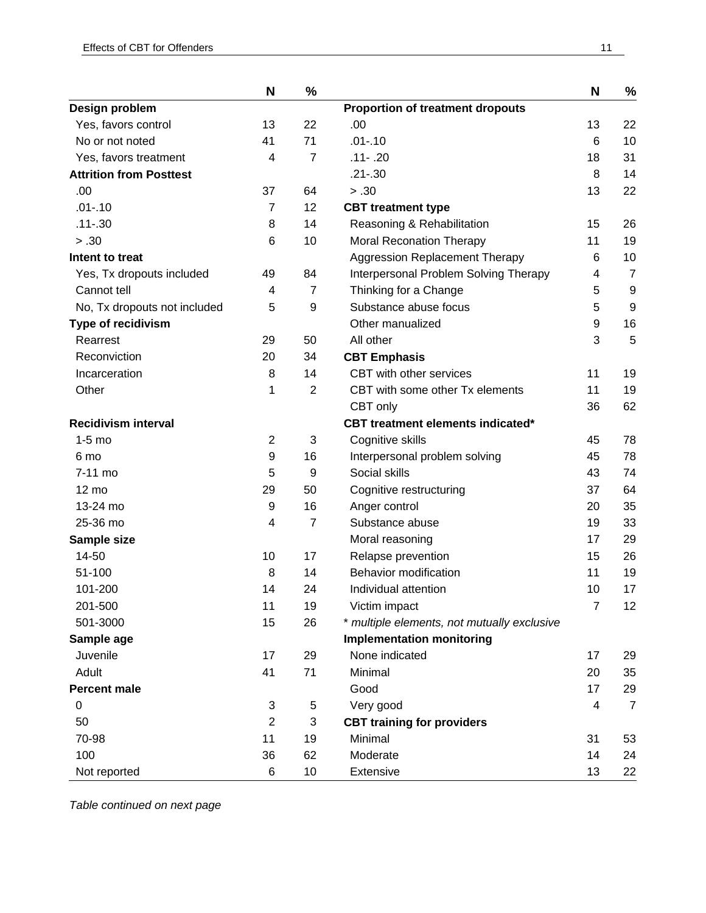|                                | N              | %              |                                             | N                        | ℅              |
|--------------------------------|----------------|----------------|---------------------------------------------|--------------------------|----------------|
| Design problem                 |                |                | <b>Proportion of treatment dropouts</b>     |                          |                |
| Yes, favors control            | 13             | 22             | .00                                         | 13                       | 22             |
| No or not noted                | 41             | 71             | $.01 - .10$                                 | 6                        | 10             |
| Yes, favors treatment          | 4              | $\overline{7}$ | $.11 - .20$                                 | 18                       | 31             |
| <b>Attrition from Posttest</b> |                |                | $.21 - .30$                                 | 8                        | 14             |
| .00                            | 37             | 64             | > .30                                       | 13                       | 22             |
| $.01 - .10$                    | 7              | 12             | <b>CBT</b> treatment type                   |                          |                |
| $.11 - .30$                    | 8              | 14             | Reasoning & Rehabilitation                  | 15                       | 26             |
| > .30                          | 6              | 10             | <b>Moral Reconation Therapy</b>             | 11                       | 19             |
| Intent to treat                |                |                | Aggression Replacement Therapy              | 6                        | 10             |
| Yes, Tx dropouts included      | 49             | 84             | Interpersonal Problem Solving Therapy       | 4                        | $\overline{7}$ |
| Cannot tell                    | $\overline{4}$ | 7              | Thinking for a Change                       | 5                        | 9              |
| No, Tx dropouts not included   | 5              | 9              | Substance abuse focus                       | 5                        | 9              |
| Type of recidivism             |                |                | Other manualized                            | 9                        | 16             |
| Rearrest                       | 29             | 50             | All other                                   | 3                        | 5              |
| Reconviction                   | 20             | 34             | <b>CBT Emphasis</b>                         |                          |                |
| Incarceration                  | 8              | 14             | CBT with other services                     | 11                       | 19             |
| Other                          | 1              | $\overline{2}$ | CBT with some other Tx elements             | 11                       | 19             |
|                                |                |                | CBT only                                    | 36                       | 62             |
| <b>Recidivism interval</b>     |                |                | <b>CBT</b> treatment elements indicated*    |                          |                |
| $1-5$ mo                       | $\overline{2}$ | 3              | Cognitive skills                            | 45                       | 78             |
| 6 mo                           | 9              | 16             | Interpersonal problem solving               | 45                       | 78             |
| 7-11 mo                        | 5              | 9              | Social skills                               | 43                       | 74             |
| $12 \text{ mo}$                | 29             | 50             | Cognitive restructuring                     | 37                       | 64             |
| 13-24 mo                       | 9              | 16             | Anger control                               | 20                       | 35             |
| 25-36 mo                       | 4              | $\overline{7}$ | Substance abuse                             | 19                       | 33             |
| Sample size                    |                |                | Moral reasoning                             | 17                       | 29             |
| 14-50                          | 10             | 17             | Relapse prevention                          | 15                       | 26             |
| 51-100                         | 8              | 14             | Behavior modification                       | 11                       | 19             |
| 101-200                        | 14             | 24             | Individual attention                        | 10                       | 17             |
| 201-500                        | 11             | 19             | Victim impact                               | $\overline{7}$           | 12             |
| 501-3000                       | 15             | 26             | * multiple elements, not mutually exclusive |                          |                |
| Sample age                     |                |                | <b>Implementation monitoring</b>            |                          |                |
| Juvenile                       | 17             | 29             | None indicated                              | 17                       | 29             |
| Adult                          | 41             | 71             | Minimal                                     | 20                       | 35             |
| <b>Percent male</b>            |                |                | Good                                        | 17                       | 29             |
| 0                              | 3              | 5              | Very good                                   | $\overline{\mathcal{A}}$ | $\overline{7}$ |
| 50                             | $\overline{2}$ | 3              | <b>CBT training for providers</b>           |                          |                |
| 70-98                          | 11             | 19             | Minimal                                     | 31                       | 53             |
| 100                            | 36             | 62             | Moderate                                    | 14                       | 24             |
| Not reported                   | 6              | 10             | Extensive                                   | 13                       | 22             |

*Table continued on next page*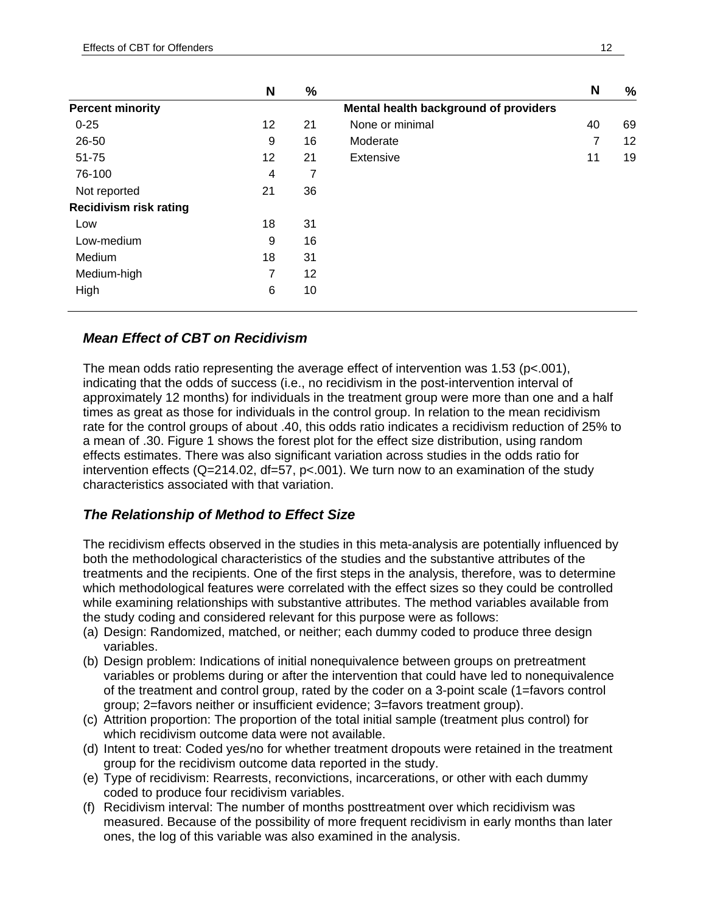|                               | N  | %  |                                       | N  | %  |
|-------------------------------|----|----|---------------------------------------|----|----|
| <b>Percent minority</b>       |    |    | Mental health background of providers |    |    |
| $0 - 25$                      | 12 | 21 | None or minimal                       | 40 | 69 |
| 26-50                         | 9  | 16 | Moderate                              | 7  | 12 |
| 51-75                         | 12 | 21 | Extensive                             | 11 | 19 |
| 76-100                        | 4  | 7  |                                       |    |    |
| Not reported                  | 21 | 36 |                                       |    |    |
| <b>Recidivism risk rating</b> |    |    |                                       |    |    |
| Low                           | 18 | 31 |                                       |    |    |
| Low-medium                    | 9  | 16 |                                       |    |    |
| Medium                        | 18 | 31 |                                       |    |    |
| Medium-high                   | 7  | 12 |                                       |    |    |
| High                          | 6  | 10 |                                       |    |    |

# *Mean Effect of CBT on Recidivism*

The mean odds ratio representing the average effect of intervention was 1.53 ( $p<.001$ ), indicating that the odds of success (i.e., no recidivism in the post-intervention interval of approximately 12 months) for individuals in the treatment group were more than one and a half times as great as those for individuals in the control group. In relation to the mean recidivism rate for the control groups of about .40, this odds ratio indicates a recidivism reduction of 25% to a mean of .30. Figure 1 shows the forest plot for the effect size distribution, using random effects estimates. There was also significant variation across studies in the odds ratio for intervention effects ( $Q=214.02$ , df=57, p<.001). We turn now to an examination of the study characteristics associated with that variation.

### *The Relationship of Method to Effect Size*

The recidivism effects observed in the studies in this meta-analysis are potentially influenced by both the methodological characteristics of the studies and the substantive attributes of the treatments and the recipients. One of the first steps in the analysis, therefore, was to determine which methodological features were correlated with the effect sizes so they could be controlled while examining relationships with substantive attributes. The method variables available from the study coding and considered relevant for this purpose were as follows:

- (a) Design: Randomized, matched, or neither; each dummy coded to produce three design variables.
- (b) Design problem: Indications of initial nonequivalence between groups on pretreatment variables or problems during or after the intervention that could have led to nonequivalence of the treatment and control group, rated by the coder on a 3-point scale (1=favors control group; 2=favors neither or insufficient evidence; 3=favors treatment group).
- (c) Attrition proportion: The proportion of the total initial sample (treatment plus control) for which recidivism outcome data were not available.
- (d) Intent to treat: Coded yes/no for whether treatment dropouts were retained in the treatment group for the recidivism outcome data reported in the study.
- (e) Type of recidivism: Rearrests, reconvictions, incarcerations, or other with each dummy coded to produce four recidivism variables.
- (f) Recidivism interval: The number of months posttreatment over which recidivism was measured. Because of the possibility of more frequent recidivism in early months than later ones, the log of this variable was also examined in the analysis.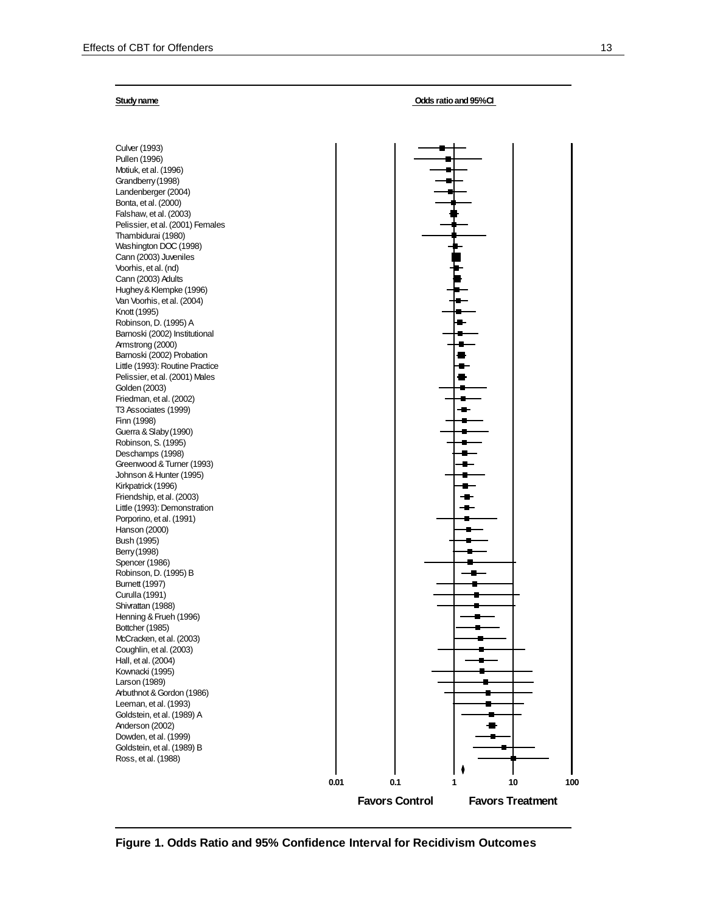**Study name Odds ratio and 95% CI**

Culver (1993) Pullen (1996) Motiuk, et al. (1996) Grandberry (1998) Landenberger (2004) Bonta, et al. (2000) Falshaw, et al. (2003) Pelissier, et al. (2001) Females Thambidurai (1980) Washington DOC (1998) Cann (2003) Juveniles Voorhis, et al. (nd) Cann (2003) Adults Hughey & Klempke (1996) Van Voorhis, et al. (2004) Knott (1995) Robinson, D. (1995) A Barnoski (2002) Institutional Armstrong (2000) Barnoski (2002) Probation Little (1993): Routine Practice Pelissier, et al. (2001) Males Golden (2003) Friedman, et al. (2002) T3 Associates (1999) Finn (1998) Guerra & Slaby (1990) Robinson, S. (1995) Deschamps (1998) Greenwood & Turner (1993) Johnson & Hunter (1995) Kirkpatrick (1996) Friendship, et al. (2003) Little (1993): Demonstration Porporino, et al. (1991) Hanson (2000) Bush (1995) Berry (1998) Spencer (1986) Robinson, D. (1995) B Burnett (1997) Curulla (1991) Shivrattan (1988) Henning & Frueh (1996) Bottcher (1985) McCracken, et al. (2003) Coughlin, et al. (2003) Hall, et al. (2004) Kownacki (1995) Larson (1989) Arbuthnot & Gordon (1986) Leeman, et al. (1993) Goldstein, et al. (1989) A Anderson (2002) Dowden, et al. (1999) Goldstein, et al. (1989) B Ross, et al. (1988)





**Favors Control Favors Treatment**

**Figure 1. Odds Ratio and 95% Confidence Interval for Recidivism Outcomes**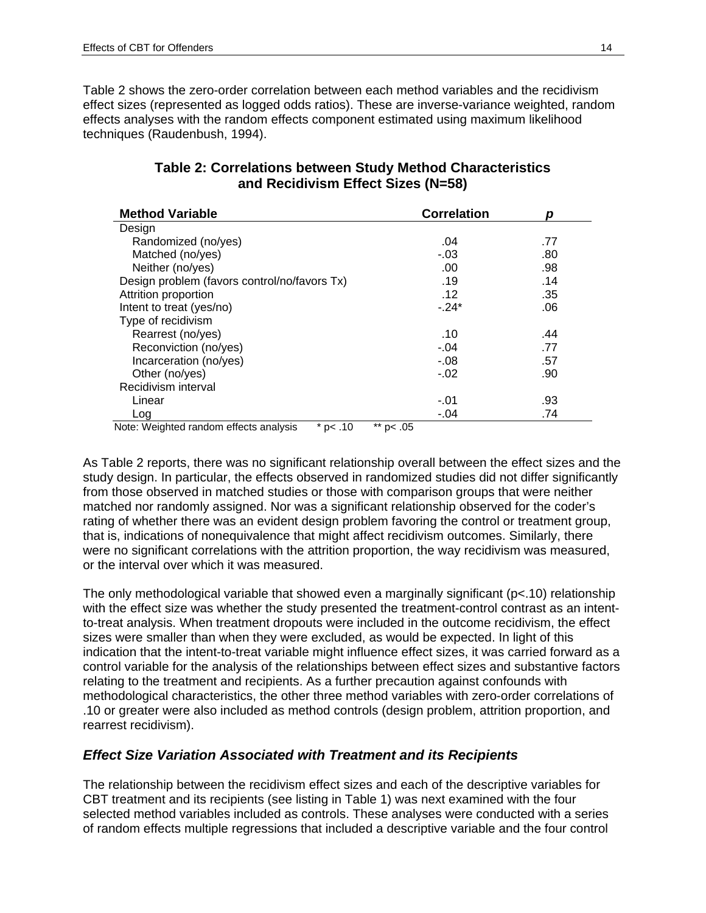Table 2 shows the zero-order correlation between each method variables and the recidivism effect sizes (represented as logged odds ratios). These are inverse-variance weighted, random effects analyses with the random effects component estimated using maximum likelihood techniques (Raudenbush, 1994).

| <b>Method Variable</b>                       | <b>Correlation</b> | p   |
|----------------------------------------------|--------------------|-----|
| Design                                       |                    |     |
| Randomized (no/yes)                          | .04                | .77 |
| Matched (no/yes)                             | $-.03$             | .80 |
| Neither (no/yes)                             | .00                | .98 |
| Design problem (favors control/no/favors Tx) | .19                | .14 |
| Attrition proportion                         | .12                | .35 |
| Intent to treat (yes/no)                     | $-24*$             | .06 |
| Type of recidivism                           |                    |     |
| Rearrest (no/yes)                            | .10                | .44 |
| Reconviction (no/yes)                        | $-.04$             | .77 |
| Incarceration (no/yes)                       | $-0.08$            | .57 |
| Other (no/yes)                               | $-.02$             | .90 |
| Recidivism interval                          |                    |     |
| Linear                                       | $-.01$             | .93 |
| Log                                          | $-.04$             | .74 |

#### **Table 2: Correlations between Study Method Characteristics and Recidivism Effect Sizes (N=58)**

Note: Weighted random effects analysis \* p< .10 \*\* p< .05

As Table 2 reports, there was no significant relationship overall between the effect sizes and the study design. In particular, the effects observed in randomized studies did not differ significantly from those observed in matched studies or those with comparison groups that were neither matched nor randomly assigned. Nor was a significant relationship observed for the coder's rating of whether there was an evident design problem favoring the control or treatment group, that is, indications of nonequivalence that might affect recidivism outcomes. Similarly, there were no significant correlations with the attrition proportion, the way recidivism was measured, or the interval over which it was measured.

The only methodological variable that showed even a marginally significant  $(p< 10)$  relationship with the effect size was whether the study presented the treatment-control contrast as an intentto-treat analysis. When treatment dropouts were included in the outcome recidivism, the effect sizes were smaller than when they were excluded, as would be expected. In light of this indication that the intent-to-treat variable might influence effect sizes, it was carried forward as a control variable for the analysis of the relationships between effect sizes and substantive factors relating to the treatment and recipients. As a further precaution against confounds with methodological characteristics, the other three method variables with zero-order correlations of .10 or greater were also included as method controls (design problem, attrition proportion, and rearrest recidivism).

# *Effect Size Variation Associated with Treatment and its Recipients*

The relationship between the recidivism effect sizes and each of the descriptive variables for CBT treatment and its recipients (see listing in Table 1) was next examined with the four selected method variables included as controls. These analyses were conducted with a series of random effects multiple regressions that included a descriptive variable and the four control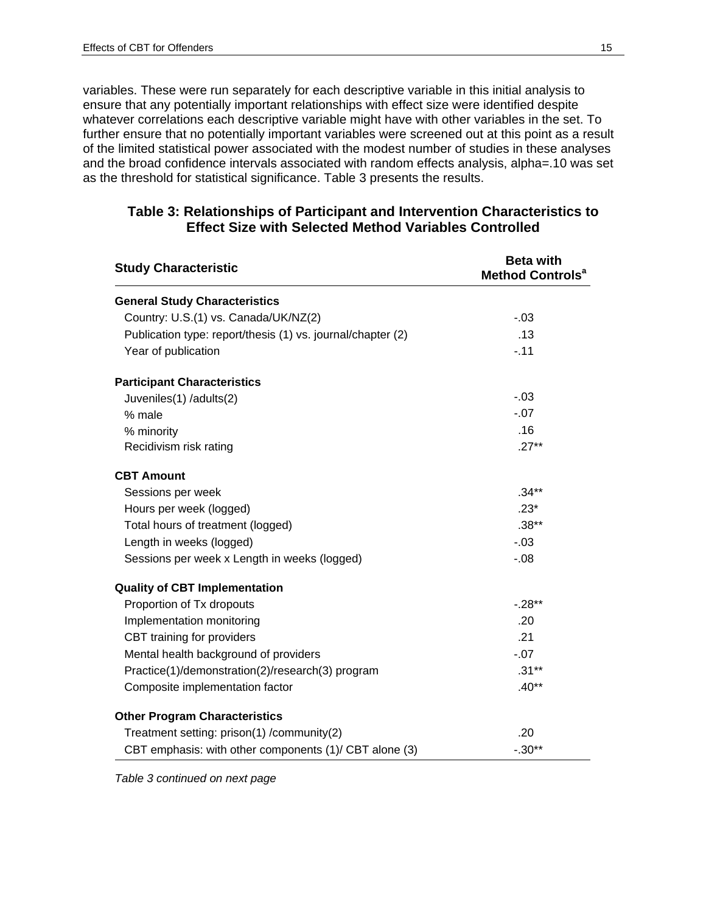variables. These were run separately for each descriptive variable in this initial analysis to ensure that any potentially important relationships with effect size were identified despite whatever correlations each descriptive variable might have with other variables in the set. To further ensure that no potentially important variables were screened out at this point as a result of the limited statistical power associated with the modest number of studies in these analyses and the broad confidence intervals associated with random effects analysis, alpha=.10 was set as the threshold for statistical significance. Table 3 presents the results.

| <b>Study Characteristic</b>                                 | <b>Beta with</b><br>Method Controls <sup>a</sup> |
|-------------------------------------------------------------|--------------------------------------------------|
| <b>General Study Characteristics</b>                        |                                                  |
| Country: U.S.(1) vs. Canada/UK/NZ(2)                        | $-.03$                                           |
| Publication type: report/thesis (1) vs. journal/chapter (2) | .13                                              |
| Year of publication                                         | $-11$                                            |
| <b>Participant Characteristics</b>                          |                                                  |
| Juveniles(1) /adults(2)                                     | $-.03$                                           |
| % male                                                      | $-.07$                                           |
| % minority                                                  | .16                                              |
| Recidivism risk rating                                      | $.27**$                                          |
| <b>CBT Amount</b>                                           |                                                  |
| Sessions per week                                           | $.34***$                                         |
| Hours per week (logged)                                     | $.23*$                                           |
| Total hours of treatment (logged)                           | $.38**$                                          |
| Length in weeks (logged)                                    | $-03$                                            |
| Sessions per week x Length in weeks (logged)                | $-0.08$                                          |
| <b>Quality of CBT Implementation</b>                        |                                                  |
| Proportion of Tx dropouts                                   | $-.28**$                                         |
| Implementation monitoring                                   | .20                                              |
| CBT training for providers                                  | .21                                              |
| Mental health background of providers                       | $-.07$                                           |
| Practice(1)/demonstration(2)/research(3) program            | $.31**$                                          |
| Composite implementation factor                             | $.40**$                                          |
| <b>Other Program Characteristics</b>                        |                                                  |
| Treatment setting: prison(1) /community(2)                  | .20                                              |
| CBT emphasis: with other components (1)/ CBT alone (3)      | $-.30**$                                         |

#### **Table 3: Relationships of Participant and Intervention Characteristics to Effect Size with Selected Method Variables Controlled**

*Table 3 continued on next page*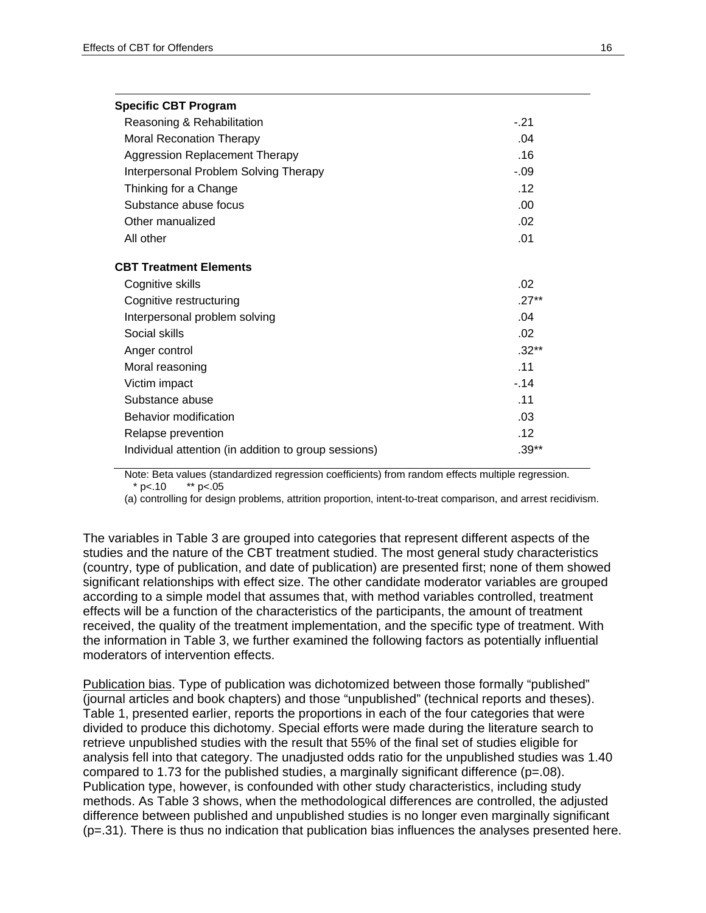| <b>Specific CBT Program</b>                          |         |
|------------------------------------------------------|---------|
| Reasoning & Rehabilitation                           | $-.21$  |
| <b>Moral Reconation Therapy</b>                      | .04     |
| <b>Aggression Replacement Therapy</b>                | .16     |
| Interpersonal Problem Solving Therapy                | $-.09$  |
| Thinking for a Change                                | .12     |
| Substance abuse focus                                | .00     |
| Other manualized                                     | .02     |
| All other                                            | .01     |
| <b>CBT Treatment Elements</b>                        |         |
| Cognitive skills                                     | .02     |
| Cognitive restructuring                              | $.27**$ |
| Interpersonal problem solving                        | .04     |
| Social skills                                        | .02     |
| Anger control                                        | $.32**$ |
| Moral reasoning                                      | .11     |
| Victim impact                                        | $-.14$  |
| Substance abuse                                      | .11     |
| Behavior modification                                | .03     |
| Relapse prevention                                   | .12     |
| Individual attention (in addition to group sessions) | $.39**$ |

Note: Beta values (standardized regression coefficients) from random effects multiple regression.  $*$  p<.10  $*$  p <.05

(a) controlling for design problems, attrition proportion, intent-to-treat comparison, and arrest recidivism.

The variables in Table 3 are grouped into categories that represent different aspects of the studies and the nature of the CBT treatment studied. The most general study characteristics (country, type of publication, and date of publication) are presented first; none of them showed significant relationships with effect size. The other candidate moderator variables are grouped according to a simple model that assumes that, with method variables controlled, treatment effects will be a function of the characteristics of the participants, the amount of treatment received, the quality of the treatment implementation, and the specific type of treatment. With the information in Table 3, we further examined the following factors as potentially influential moderators of intervention effects.

Publication bias. Type of publication was dichotomized between those formally "published" (journal articles and book chapters) and those "unpublished" (technical reports and theses). Table 1, presented earlier, reports the proportions in each of the four categories that were divided to produce this dichotomy. Special efforts were made during the literature search to retrieve unpublished studies with the result that 55% of the final set of studies eligible for analysis fell into that category. The unadjusted odds ratio for the unpublished studies was 1.40 compared to 1.73 for the published studies, a marginally significant difference  $(p=.08)$ . Publication type, however, is confounded with other study characteristics, including study methods. As Table 3 shows, when the methodological differences are controlled, the adjusted difference between published and unpublished studies is no longer even marginally significant (p=.31). There is thus no indication that publication bias influences the analyses presented here.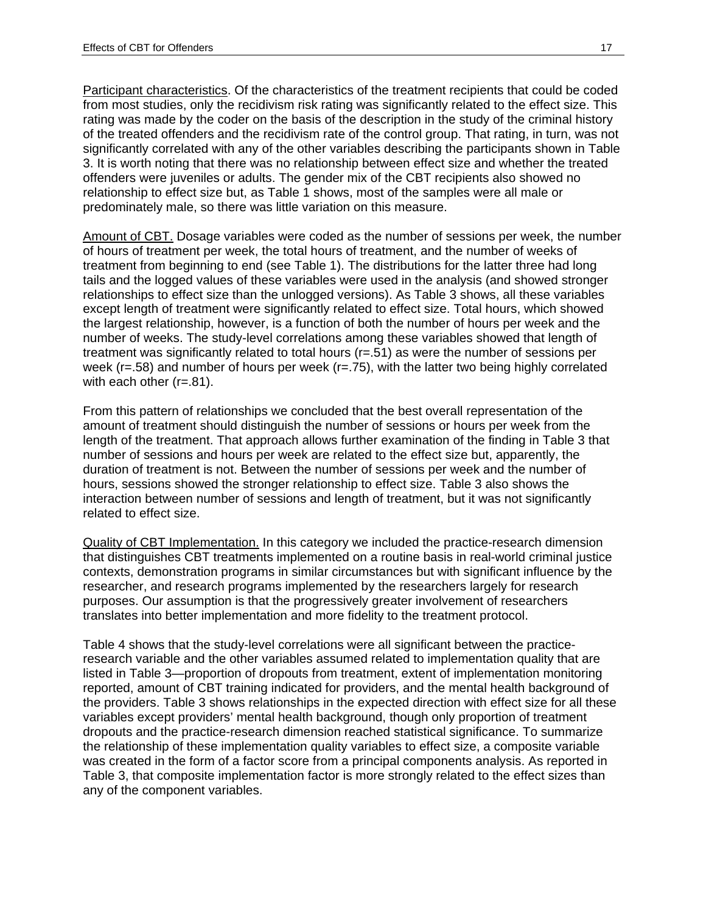Participant characteristics. Of the characteristics of the treatment recipients that could be coded from most studies, only the recidivism risk rating was significantly related to the effect size. This rating was made by the coder on the basis of the description in the study of the criminal history of the treated offenders and the recidivism rate of the control group. That rating, in turn, was not significantly correlated with any of the other variables describing the participants shown in Table 3. It is worth noting that there was no relationship between effect size and whether the treated offenders were juveniles or adults. The gender mix of the CBT recipients also showed no relationship to effect size but, as Table 1 shows, most of the samples were all male or predominately male, so there was little variation on this measure.

Amount of CBT. Dosage variables were coded as the number of sessions per week, the number of hours of treatment per week, the total hours of treatment, and the number of weeks of treatment from beginning to end (see Table 1). The distributions for the latter three had long tails and the logged values of these variables were used in the analysis (and showed stronger relationships to effect size than the unlogged versions). As Table 3 shows, all these variables except length of treatment were significantly related to effect size. Total hours, which showed the largest relationship, however, is a function of both the number of hours per week and the number of weeks. The study-level correlations among these variables showed that length of treatment was significantly related to total hours (r=.51) as were the number of sessions per week ( $r=58$ ) and number of hours per week ( $r=75$ ), with the latter two being highly correlated with each other (r=.81).

From this pattern of relationships we concluded that the best overall representation of the amount of treatment should distinguish the number of sessions or hours per week from the length of the treatment. That approach allows further examination of the finding in Table 3 that number of sessions and hours per week are related to the effect size but, apparently, the duration of treatment is not. Between the number of sessions per week and the number of hours, sessions showed the stronger relationship to effect size. Table 3 also shows the interaction between number of sessions and length of treatment, but it was not significantly related to effect size.

Quality of CBT Implementation. In this category we included the practice-research dimension that distinguishes CBT treatments implemented on a routine basis in real-world criminal justice contexts, demonstration programs in similar circumstances but with significant influence by the researcher, and research programs implemented by the researchers largely for research purposes. Our assumption is that the progressively greater involvement of researchers translates into better implementation and more fidelity to the treatment protocol.

Table 4 shows that the study-level correlations were all significant between the practiceresearch variable and the other variables assumed related to implementation quality that are listed in Table 3—proportion of dropouts from treatment, extent of implementation monitoring reported, amount of CBT training indicated for providers, and the mental health background of the providers. Table 3 shows relationships in the expected direction with effect size for all these variables except providers' mental health background, though only proportion of treatment dropouts and the practice-research dimension reached statistical significance. To summarize the relationship of these implementation quality variables to effect size, a composite variable was created in the form of a factor score from a principal components analysis. As reported in Table 3, that composite implementation factor is more strongly related to the effect sizes than any of the component variables.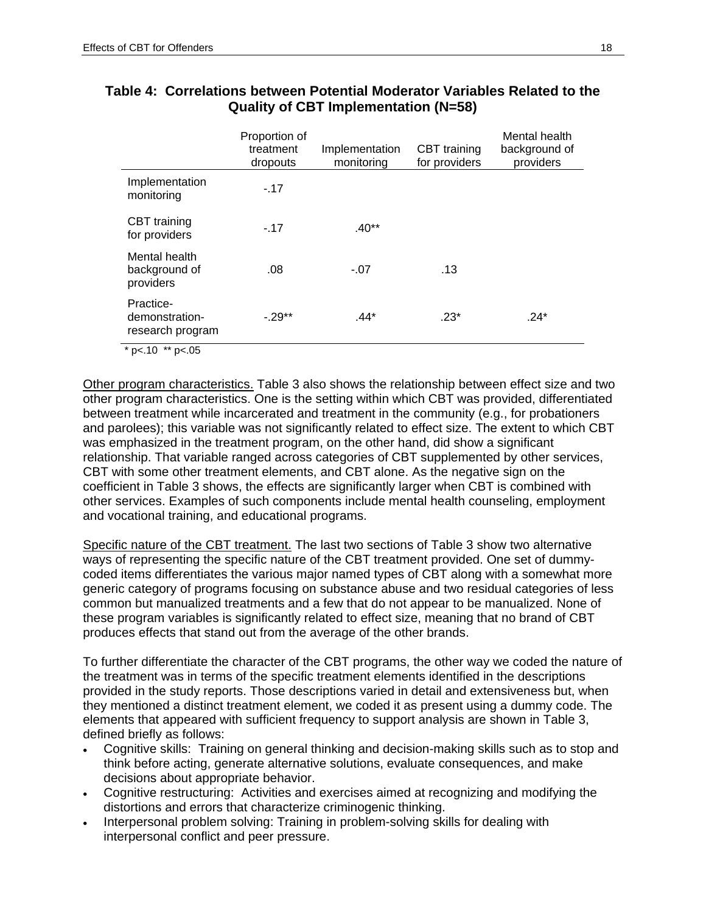|                                                 | Proportion of<br>treatment<br>dropouts | Implementation<br>monitoring | CBT training<br>for providers | Mental health<br>background of<br>providers |
|-------------------------------------------------|----------------------------------------|------------------------------|-------------------------------|---------------------------------------------|
| Implementation<br>monitoring                    | $-.17$                                 |                              |                               |                                             |
| CBT training<br>for providers                   | $-.17$                                 | $.40**$                      |                               |                                             |
| Mental health<br>background of<br>providers     | .08                                    | $-.07$                       | .13                           |                                             |
| Practice-<br>demonstration-<br>research program | $-.29**$                               | $.44*$                       | $.23*$                        | $.24*$                                      |
| * p<.10 ** p<.05                                |                                        |                              |                               |                                             |

### **Table 4: Correlations between Potential Moderator Variables Related to the Quality of CBT Implementation (N=58)**

Other program characteristics. Table 3 also shows the relationship between effect size and two other program characteristics. One is the setting within which CBT was provided, differentiated between treatment while incarcerated and treatment in the community (e.g., for probationers and parolees); this variable was not significantly related to effect size. The extent to which CBT was emphasized in the treatment program, on the other hand, did show a significant relationship. That variable ranged across categories of CBT supplemented by other services, CBT with some other treatment elements, and CBT alone. As the negative sign on the coefficient in Table 3 shows, the effects are significantly larger when CBT is combined with other services. Examples of such components include mental health counseling, employment and vocational training, and educational programs.

Specific nature of the CBT treatment. The last two sections of Table 3 show two alternative ways of representing the specific nature of the CBT treatment provided. One set of dummycoded items differentiates the various major named types of CBT along with a somewhat more generic category of programs focusing on substance abuse and two residual categories of less common but manualized treatments and a few that do not appear to be manualized. None of these program variables is significantly related to effect size, meaning that no brand of CBT produces effects that stand out from the average of the other brands.

To further differentiate the character of the CBT programs, the other way we coded the nature of the treatment was in terms of the specific treatment elements identified in the descriptions provided in the study reports. Those descriptions varied in detail and extensiveness but, when they mentioned a distinct treatment element, we coded it as present using a dummy code. The elements that appeared with sufficient frequency to support analysis are shown in Table 3, defined briefly as follows:

- Cognitive skills: Training on general thinking and decision-making skills such as to stop and think before acting, generate alternative solutions, evaluate consequences, and make decisions about appropriate behavior.
- Cognitive restructuring: Activities and exercises aimed at recognizing and modifying the distortions and errors that characterize criminogenic thinking.
- Interpersonal problem solving: Training in problem-solving skills for dealing with interpersonal conflict and peer pressure.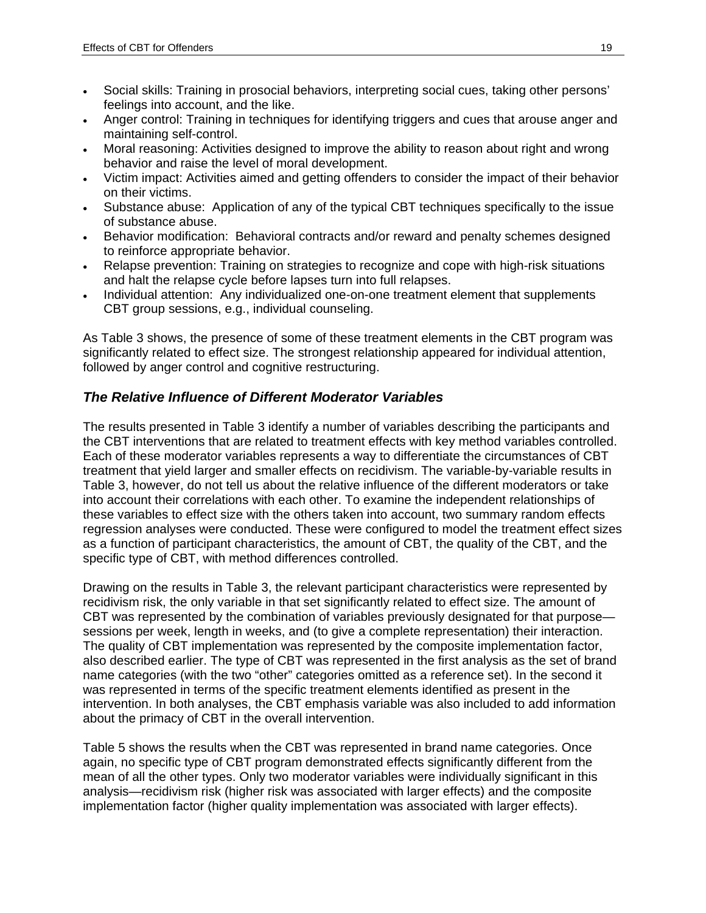- Social skills: Training in prosocial behaviors, interpreting social cues, taking other persons' feelings into account, and the like.
- Anger control: Training in techniques for identifying triggers and cues that arouse anger and maintaining self-control.
- Moral reasoning: Activities designed to improve the ability to reason about right and wrong behavior and raise the level of moral development.
- Victim impact: Activities aimed and getting offenders to consider the impact of their behavior on their victims.
- Substance abuse: Application of any of the typical CBT techniques specifically to the issue of substance abuse.
- Behavior modification: Behavioral contracts and/or reward and penalty schemes designed to reinforce appropriate behavior.
- Relapse prevention: Training on strategies to recognize and cope with high-risk situations and halt the relapse cycle before lapses turn into full relapses.
- Individual attention: Any individualized one-on-one treatment element that supplements CBT group sessions, e.g., individual counseling.

As Table 3 shows, the presence of some of these treatment elements in the CBT program was significantly related to effect size. The strongest relationship appeared for individual attention, followed by anger control and cognitive restructuring.

# *The Relative Influence of Different Moderator Variables*

The results presented in Table 3 identify a number of variables describing the participants and the CBT interventions that are related to treatment effects with key method variables controlled. Each of these moderator variables represents a way to differentiate the circumstances of CBT treatment that yield larger and smaller effects on recidivism. The variable-by-variable results in Table 3, however, do not tell us about the relative influence of the different moderators or take into account their correlations with each other. To examine the independent relationships of these variables to effect size with the others taken into account, two summary random effects regression analyses were conducted. These were configured to model the treatment effect sizes as a function of participant characteristics, the amount of CBT, the quality of the CBT, and the specific type of CBT, with method differences controlled.

Drawing on the results in Table 3, the relevant participant characteristics were represented by recidivism risk, the only variable in that set significantly related to effect size. The amount of CBT was represented by the combination of variables previously designated for that purpose sessions per week, length in weeks, and (to give a complete representation) their interaction. The quality of CBT implementation was represented by the composite implementation factor, also described earlier. The type of CBT was represented in the first analysis as the set of brand name categories (with the two "other" categories omitted as a reference set). In the second it was represented in terms of the specific treatment elements identified as present in the intervention. In both analyses, the CBT emphasis variable was also included to add information about the primacy of CBT in the overall intervention.

Table 5 shows the results when the CBT was represented in brand name categories. Once again, no specific type of CBT program demonstrated effects significantly different from the mean of all the other types. Only two moderator variables were individually significant in this analysis—recidivism risk (higher risk was associated with larger effects) and the composite implementation factor (higher quality implementation was associated with larger effects).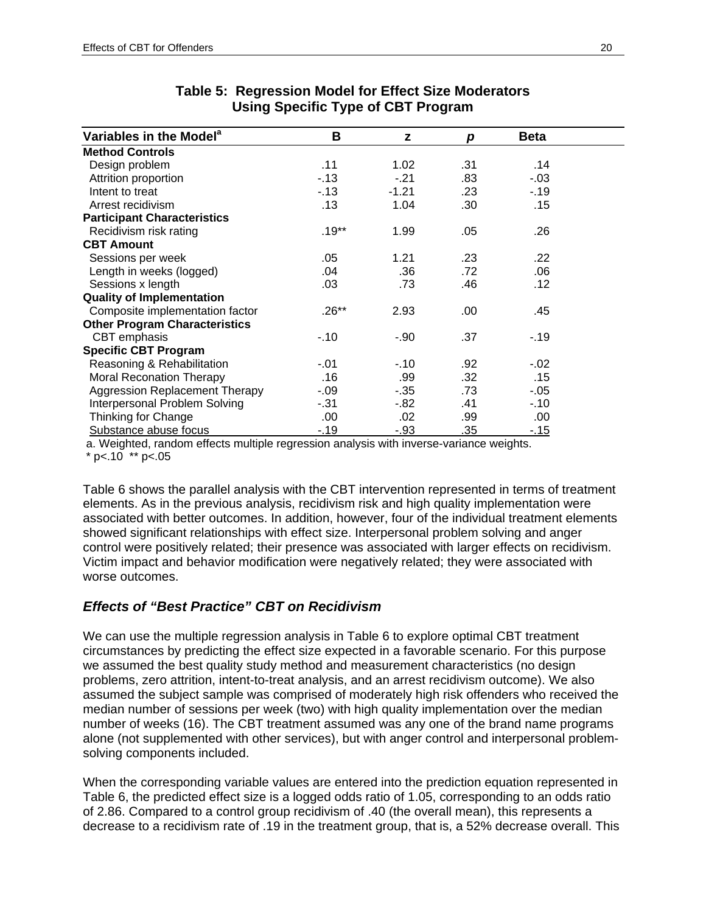| Variables in the Model <sup>a</sup>   | B       | z       | $\boldsymbol{p}$ | <b>Beta</b> |  |
|---------------------------------------|---------|---------|------------------|-------------|--|
| <b>Method Controls</b>                |         |         |                  |             |  |
| Design problem                        | .11     | 1.02    | .31              | .14         |  |
| Attrition proportion                  | $-13$   | $-21$   | .83              | $-03$       |  |
| Intent to treat                       | $-13$   | $-1.21$ | .23              | $-19$       |  |
| Arrest recidivism                     | .13     | 1.04    | .30              | .15         |  |
| <b>Participant Characteristics</b>    |         |         |                  |             |  |
| Recidivism risk rating                | $.19**$ | 1.99    | .05              | .26         |  |
| <b>CBT Amount</b>                     |         |         |                  |             |  |
| Sessions per week                     | .05     | 1.21    | .23              | .22         |  |
| Length in weeks (logged)              | .04     | .36     | .72              | .06         |  |
| Sessions x length                     | .03     | .73     | .46              | .12         |  |
| <b>Quality of Implementation</b>      |         |         |                  |             |  |
| Composite implementation factor       | $.26**$ | 2.93    | .00              | .45         |  |
| <b>Other Program Characteristics</b>  |         |         |                  |             |  |
| CBT emphasis                          | $-.10$  | $-.90$  | .37              | -.19        |  |
| <b>Specific CBT Program</b>           |         |         |                  |             |  |
| Reasoning & Rehabilitation            | $-.01$  | $-.10$  | .92              | $-.02$      |  |
| <b>Moral Reconation Therapy</b>       | .16     | .99     | .32              | .15         |  |
| <b>Aggression Replacement Therapy</b> | $-0.09$ | $-35$   | .73              | $-.05$      |  |
| Interpersonal Problem Solving         | $-31$   | $-82$   | .41              | $-.10$      |  |
| Thinking for Change                   | .00     | .02     | .99              | .00         |  |
| Substance abuse focus                 | $-19$   | $-.93$  | .35              | $-.15$      |  |

#### **Table 5: Regression Model for Effect Size Moderators Using Specific Type of CBT Program**

 a. Weighted, random effects multiple regression analysis with inverse-variance weights.  $*$  p<.10  $*$  p<.05

Table 6 shows the parallel analysis with the CBT intervention represented in terms of treatment elements. As in the previous analysis, recidivism risk and high quality implementation were associated with better outcomes. In addition, however, four of the individual treatment elements showed significant relationships with effect size. Interpersonal problem solving and anger control were positively related; their presence was associated with larger effects on recidivism. Victim impact and behavior modification were negatively related; they were associated with worse outcomes.

# *Effects of "Best Practice" CBT on Recidivism*

We can use the multiple regression analysis in Table 6 to explore optimal CBT treatment circumstances by predicting the effect size expected in a favorable scenario. For this purpose we assumed the best quality study method and measurement characteristics (no design problems, zero attrition, intent-to-treat analysis, and an arrest recidivism outcome). We also assumed the subject sample was comprised of moderately high risk offenders who received the median number of sessions per week (two) with high quality implementation over the median number of weeks (16). The CBT treatment assumed was any one of the brand name programs alone (not supplemented with other services), but with anger control and interpersonal problemsolving components included.

When the corresponding variable values are entered into the prediction equation represented in Table 6, the predicted effect size is a logged odds ratio of 1.05, corresponding to an odds ratio of 2.86. Compared to a control group recidivism of .40 (the overall mean), this represents a decrease to a recidivism rate of .19 in the treatment group, that is, a 52% decrease overall. This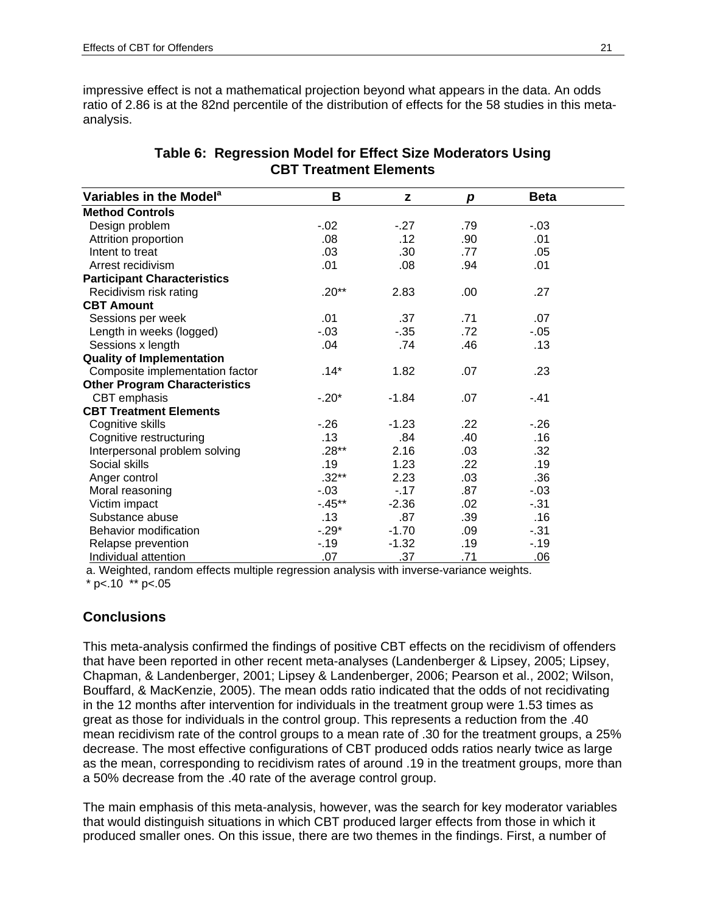impressive effect is not a mathematical projection beyond what appears in the data. An odds ratio of 2.86 is at the 82nd percentile of the distribution of effects for the 58 studies in this metaanalysis.

| Variables in the Model <sup>a</sup>  | В       | z       | $\boldsymbol{p}$ | <b>Beta</b> |  |
|--------------------------------------|---------|---------|------------------|-------------|--|
| <b>Method Controls</b>               |         |         |                  |             |  |
| Design problem                       | $-.02$  | $-.27$  | .79              | $-.03$      |  |
| Attrition proportion                 | .08     | .12     | .90              | .01         |  |
| Intent to treat                      | .03     | .30     | .77              | .05         |  |
| Arrest recidivism                    | .01     | .08     | .94              | .01         |  |
| <b>Participant Characteristics</b>   |         |         |                  |             |  |
| Recidivism risk rating               | $.20**$ | 2.83    | .00.             | .27         |  |
| <b>CBT Amount</b>                    |         |         |                  |             |  |
| Sessions per week                    | .01     | .37     | .71              | .07         |  |
| Length in weeks (logged)             | $-03$   | $-0.35$ | .72              | $-0.05$     |  |
| Sessions x length                    | .04     | .74     | .46              | .13         |  |
| <b>Quality of Implementation</b>     |         |         |                  |             |  |
| Composite implementation factor      | $.14*$  | 1.82    | .07              | .23         |  |
| <b>Other Program Characteristics</b> |         |         |                  |             |  |
| CBT emphasis                         | $-.20*$ | $-1.84$ | .07              | $-41$       |  |
| <b>CBT Treatment Elements</b>        |         |         |                  |             |  |
| Cognitive skills                     | $-26$   | $-1.23$ | .22              | $-26$       |  |
| Cognitive restructuring              | .13     | .84     | .40              | .16         |  |
| Interpersonal problem solving        | $.28**$ | 2.16    | .03              | .32         |  |
| Social skills                        | .19     | 1.23    | .22              | .19         |  |
| Anger control                        | $.32**$ | 2.23    | .03              | .36         |  |
| Moral reasoning                      | $-03$   | $-.17$  | .87              | $-03$       |  |
| Victim impact                        | $-45**$ | $-2.36$ | .02              | $-0.31$     |  |
| Substance abuse                      | .13     | .87     | .39              | .16         |  |
| Behavior modification                | $-.29*$ | $-1.70$ | .09              | $-31$       |  |
| Relapse prevention                   | $-19$   | $-1.32$ | .19              | $-.19$      |  |
| Individual attention                 | .07     | .37     | .71              | .06         |  |

#### **Table 6: Regression Model for Effect Size Moderators Using CBT Treatment Elements**

 a. Weighted, random effects multiple regression analysis with inverse-variance weights.  $*$  p<.10  $*$  p<.05

### **Conclusions**

This meta-analysis confirmed the findings of positive CBT effects on the recidivism of offenders that have been reported in other recent meta-analyses (Landenberger & Lipsey, 2005; Lipsey, Chapman, & Landenberger, 2001; Lipsey & Landenberger, 2006; Pearson et al., 2002; Wilson, Bouffard, & MacKenzie, 2005). The mean odds ratio indicated that the odds of not recidivating in the 12 months after intervention for individuals in the treatment group were 1.53 times as great as those for individuals in the control group. This represents a reduction from the .40 mean recidivism rate of the control groups to a mean rate of .30 for the treatment groups, a 25% decrease. The most effective configurations of CBT produced odds ratios nearly twice as large as the mean, corresponding to recidivism rates of around .19 in the treatment groups, more than a 50% decrease from the .40 rate of the average control group.

The main emphasis of this meta-analysis, however, was the search for key moderator variables that would distinguish situations in which CBT produced larger effects from those in which it produced smaller ones. On this issue, there are two themes in the findings. First, a number of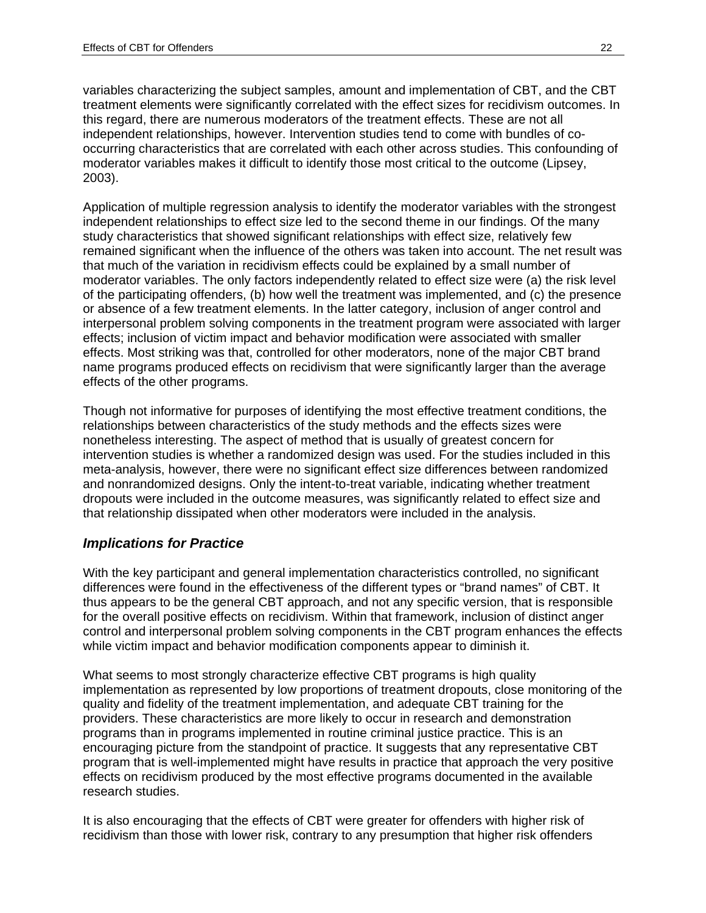variables characterizing the subject samples, amount and implementation of CBT, and the CBT treatment elements were significantly correlated with the effect sizes for recidivism outcomes. In this regard, there are numerous moderators of the treatment effects. These are not all independent relationships, however. Intervention studies tend to come with bundles of cooccurring characteristics that are correlated with each other across studies. This confounding of moderator variables makes it difficult to identify those most critical to the outcome (Lipsey, 2003).

Application of multiple regression analysis to identify the moderator variables with the strongest independent relationships to effect size led to the second theme in our findings. Of the many study characteristics that showed significant relationships with effect size, relatively few remained significant when the influence of the others was taken into account. The net result was that much of the variation in recidivism effects could be explained by a small number of moderator variables. The only factors independently related to effect size were (a) the risk level of the participating offenders, (b) how well the treatment was implemented, and (c) the presence or absence of a few treatment elements. In the latter category, inclusion of anger control and interpersonal problem solving components in the treatment program were associated with larger effects; inclusion of victim impact and behavior modification were associated with smaller effects. Most striking was that, controlled for other moderators, none of the major CBT brand name programs produced effects on recidivism that were significantly larger than the average effects of the other programs.

Though not informative for purposes of identifying the most effective treatment conditions, the relationships between characteristics of the study methods and the effects sizes were nonetheless interesting. The aspect of method that is usually of greatest concern for intervention studies is whether a randomized design was used. For the studies included in this meta-analysis, however, there were no significant effect size differences between randomized and nonrandomized designs. Only the intent-to-treat variable, indicating whether treatment dropouts were included in the outcome measures, was significantly related to effect size and that relationship dissipated when other moderators were included in the analysis.

#### *Implications for Practice*

With the key participant and general implementation characteristics controlled, no significant differences were found in the effectiveness of the different types or "brand names" of CBT. It thus appears to be the general CBT approach, and not any specific version, that is responsible for the overall positive effects on recidivism. Within that framework, inclusion of distinct anger control and interpersonal problem solving components in the CBT program enhances the effects while victim impact and behavior modification components appear to diminish it.

What seems to most strongly characterize effective CBT programs is high quality implementation as represented by low proportions of treatment dropouts, close monitoring of the quality and fidelity of the treatment implementation, and adequate CBT training for the providers. These characteristics are more likely to occur in research and demonstration programs than in programs implemented in routine criminal justice practice. This is an encouraging picture from the standpoint of practice. It suggests that any representative CBT program that is well-implemented might have results in practice that approach the very positive effects on recidivism produced by the most effective programs documented in the available research studies.

It is also encouraging that the effects of CBT were greater for offenders with higher risk of recidivism than those with lower risk, contrary to any presumption that higher risk offenders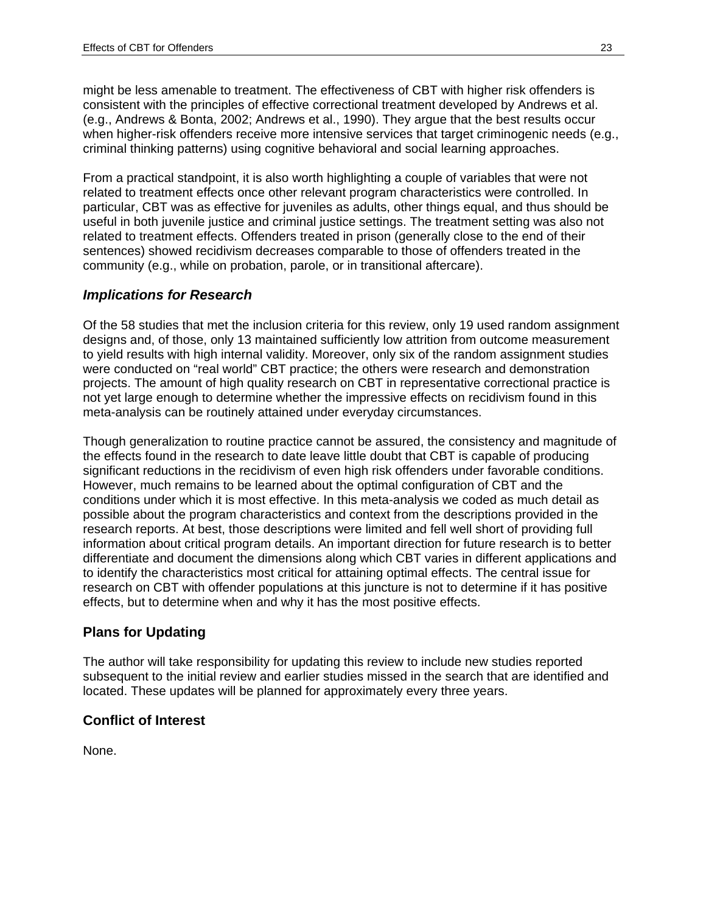might be less amenable to treatment. The effectiveness of CBT with higher risk offenders is consistent with the principles of effective correctional treatment developed by Andrews et al. (e.g., Andrews & Bonta, 2002; Andrews et al., 1990). They argue that the best results occur when higher-risk offenders receive more intensive services that target criminogenic needs (e.g., criminal thinking patterns) using cognitive behavioral and social learning approaches.

From a practical standpoint, it is also worth highlighting a couple of variables that were not related to treatment effects once other relevant program characteristics were controlled. In particular, CBT was as effective for juveniles as adults, other things equal, and thus should be useful in both juvenile justice and criminal justice settings. The treatment setting was also not related to treatment effects. Offenders treated in prison (generally close to the end of their sentences) showed recidivism decreases comparable to those of offenders treated in the community (e.g., while on probation, parole, or in transitional aftercare).

### *Implications for Research*

Of the 58 studies that met the inclusion criteria for this review, only 19 used random assignment designs and, of those, only 13 maintained sufficiently low attrition from outcome measurement to yield results with high internal validity. Moreover, only six of the random assignment studies were conducted on "real world" CBT practice; the others were research and demonstration projects. The amount of high quality research on CBT in representative correctional practice is not yet large enough to determine whether the impressive effects on recidivism found in this meta-analysis can be routinely attained under everyday circumstances.

Though generalization to routine practice cannot be assured, the consistency and magnitude of the effects found in the research to date leave little doubt that CBT is capable of producing significant reductions in the recidivism of even high risk offenders under favorable conditions. However, much remains to be learned about the optimal configuration of CBT and the conditions under which it is most effective. In this meta-analysis we coded as much detail as possible about the program characteristics and context from the descriptions provided in the research reports. At best, those descriptions were limited and fell well short of providing full information about critical program details. An important direction for future research is to better differentiate and document the dimensions along which CBT varies in different applications and to identify the characteristics most critical for attaining optimal effects. The central issue for research on CBT with offender populations at this juncture is not to determine if it has positive effects, but to determine when and why it has the most positive effects.

# **Plans for Updating**

The author will take responsibility for updating this review to include new studies reported subsequent to the initial review and earlier studies missed in the search that are identified and located. These updates will be planned for approximately every three years.

### **Conflict of Interest**

None.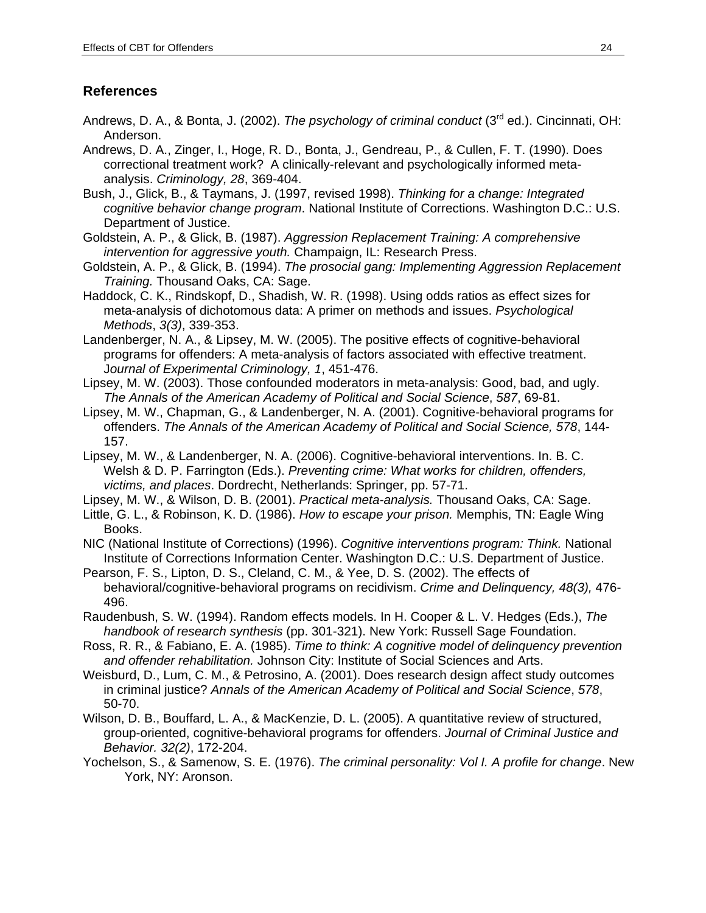# **References**

- Andrews, D. A., & Bonta, J. (2002). *The psychology of criminal conduct* (3<sup>rd</sup> ed.). Cincinnati, OH: Anderson.
- Andrews, D. A., Zinger, I., Hoge, R. D., Bonta, J., Gendreau, P., & Cullen, F. T. (1990). Does correctional treatment work? A clinically-relevant and psychologically informed metaanalysis. *Criminology, 28*, 369-404.
- Bush, J., Glick, B., & Taymans, J. (1997, revised 1998). *Thinking for a change: Integrated cognitive behavior change program*. National Institute of Corrections. Washington D.C.: U.S. Department of Justice.
- Goldstein, A. P., & Glick, B. (1987). *Aggression Replacement Training: A comprehensive intervention for aggressive youth.* Champaign, IL: Research Press.
- Goldstein, A. P., & Glick, B. (1994). *The prosocial gang: Implementing Aggression Replacement Training.* Thousand Oaks, CA: Sage.
- Haddock, C. K., Rindskopf, D., Shadish, W. R. (1998). Using odds ratios as effect sizes for meta-analysis of dichotomous data: A primer on methods and issues. *Psychological Methods*, *3(3)*, 339-353.
- Landenberger, N. A., & Lipsey, M. W. (2005). The positive effects of cognitive-behavioral programs for offenders: A meta-analysis of factors associated with effective treatment. J*ournal of Experimental Criminology, 1*, 451-476.
- Lipsey, M. W. (2003). Those confounded moderators in meta-analysis: Good, bad, and ugly. *The Annals of the American Academy of Political and Social Science*, *587*, 69-81.
- Lipsey, M. W., Chapman, G., & Landenberger, N. A. (2001). Cognitive-behavioral programs for offenders. *The Annals of the American Academy of Political and Social Science, 578*, 144- 157.
- Lipsey, M. W., & Landenberger, N. A. (2006). Cognitive-behavioral interventions. In. B. C. Welsh & D. P. Farrington (Eds.). *Preventing crime: What works for children, offenders, victims, and places*. Dordrecht, Netherlands: Springer, pp. 57-71.
- Lipsey, M. W., & Wilson, D. B. (2001). *Practical meta-analysis.* Thousand Oaks, CA: Sage.
- Little, G. L., & Robinson, K. D. (1986). *How to escape your prison.* Memphis, TN: Eagle Wing Books.
- NIC (National Institute of Corrections) (1996). *Cognitive interventions program: Think.* National Institute of Corrections Information Center. Washington D.C.: U.S. Department of Justice.
- Pearson, F. S., Lipton, D. S., Cleland, C. M., & Yee, D. S. (2002). The effects of behavioral/cognitive-behavioral programs on recidivism. *Crime and Delinquency, 48(3),* 476- 496.
- Raudenbush, S. W. (1994). Random effects models. In H. Cooper & L. V. Hedges (Eds.), *The handbook of research synthesis* (pp. 301-321). New York: Russell Sage Foundation.
- Ross, R. R., & Fabiano, E. A. (1985). *Time to think: A cognitive model of delinquency prevention and offender rehabilitation.* Johnson City: Institute of Social Sciences and Arts.
- Weisburd, D., Lum, C. M., & Petrosino, A. (2001). Does research design affect study outcomes in criminal justice? *Annals of the American Academy of Political and Social Science*, *578*, 50-70.
- Wilson, D. B., Bouffard, L. A., & MacKenzie, D. L. (2005). A quantitative review of structured, group-oriented, cognitive-behavioral programs for offenders. *Journal of Criminal Justice and Behavior. 32(2)*, 172-204.
- Yochelson, S., & Samenow, S. E. (1976). *The criminal personality: Vol I. A profile for change*. New York, NY: Aronson.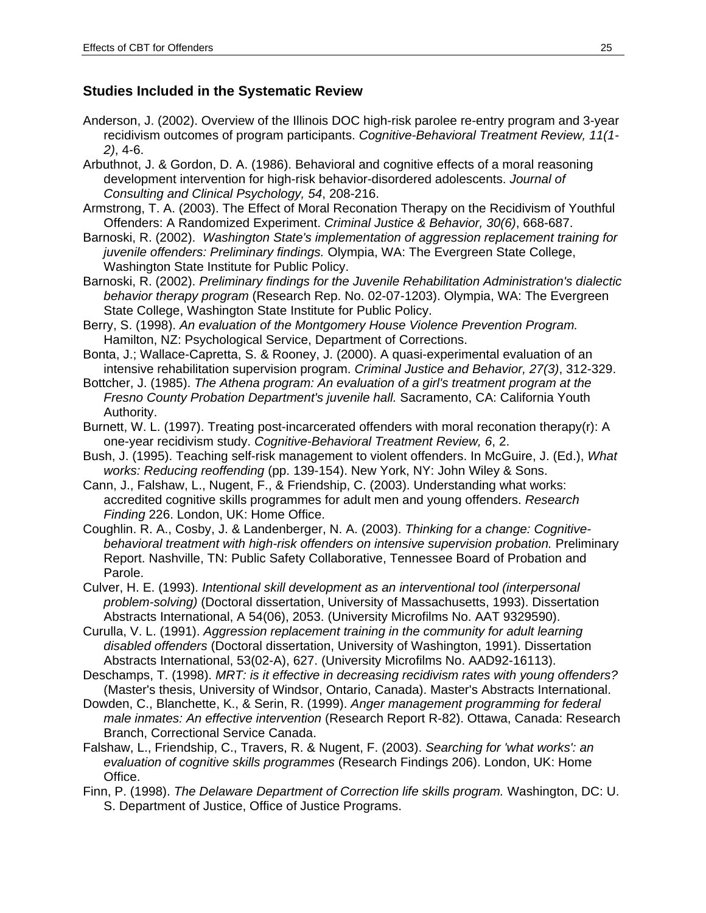# **Studies Included in the Systematic Review**

- Anderson, J. (2002). Overview of the Illinois DOC high-risk parolee re-entry program and 3-year recidivism outcomes of program participants. *Cognitive-Behavioral Treatment Review, 11(1- 2)*, 4-6.
- Arbuthnot, J. & Gordon, D. A. (1986). Behavioral and cognitive effects of a moral reasoning development intervention for high-risk behavior-disordered adolescents. *Journal of Consulting and Clinical Psychology, 54*, 208-216.
- Armstrong, T. A. (2003). The Effect of Moral Reconation Therapy on the Recidivism of Youthful Offenders: A Randomized Experiment. *Criminal Justice & Behavior, 30(6)*, 668-687.
- Barnoski, R. (2002). *Washington State's implementation of aggression replacement training for juvenile offenders: Preliminary findings.* Olympia, WA: The Evergreen State College, Washington State Institute for Public Policy.
- Barnoski, R. (2002). *Preliminary findings for the Juvenile Rehabilitation Administration's dialectic behavior therapy program* (Research Rep. No. 02-07-1203). Olympia, WA: The Evergreen State College, Washington State Institute for Public Policy.
- Berry, S. (1998). *An evaluation of the Montgomery House Violence Prevention Program.*  Hamilton, NZ: Psychological Service, Department of Corrections.
- Bonta, J.; Wallace-Capretta, S. & Rooney, J. (2000). A quasi-experimental evaluation of an intensive rehabilitation supervision program. *Criminal Justice and Behavior, 27(3)*, 312-329.
- Bottcher, J. (1985). *The Athena program: An evaluation of a girl's treatment program at the Fresno County Probation Department's juvenile hall.* Sacramento, CA: California Youth Authority.
- Burnett, W. L. (1997). Treating post-incarcerated offenders with moral reconation therapy(r): A one-year recidivism study. *Cognitive-Behavioral Treatment Review, 6*, 2.
- Bush, J. (1995). Teaching self-risk management to violent offenders. In McGuire, J. (Ed.), *What works: Reducing reoffending* (pp. 139-154). New York, NY: John Wiley & Sons.
- Cann, J., Falshaw, L., Nugent, F., & Friendship, C. (2003). Understanding what works: accredited cognitive skills programmes for adult men and young offenders. *Research Finding* 226. London, UK: Home Office.
- Coughlin. R. A., Cosby, J. & Landenberger, N. A. (2003). *Thinking for a change: Cognitivebehavioral treatment with high-risk offenders on intensive supervision probation.* Preliminary Report. Nashville, TN: Public Safety Collaborative, Tennessee Board of Probation and Parole.
- Culver, H. E. (1993). *Intentional skill development as an interventional tool (interpersonal problem-solving)* (Doctoral dissertation, University of Massachusetts, 1993). Dissertation Abstracts International, A 54(06), 2053. (University Microfilms No. AAT 9329590).
- Curulla, V. L. (1991). *Aggression replacement training in the community for adult learning disabled offenders* (Doctoral dissertation, University of Washington, 1991). Dissertation Abstracts International, 53(02-A), 627. (University Microfilms No. AAD92-16113).
- Deschamps, T. (1998). *MRT: is it effective in decreasing recidivism rates with young offenders?* (Master's thesis, University of Windsor, Ontario, Canada). Master's Abstracts International.
- Dowden, C., Blanchette, K., & Serin, R. (1999). *Anger management programming for federal male inmates: An effective intervention* (Research Report R-82). Ottawa, Canada: Research Branch, Correctional Service Canada.
- Falshaw, L., Friendship, C., Travers, R. & Nugent, F. (2003). *Searching for 'what works': an evaluation of cognitive skills programmes* (Research Findings 206). London, UK: Home Office.
- Finn, P. (1998). *The Delaware Department of Correction life skills program.* Washington, DC: U. S. Department of Justice, Office of Justice Programs.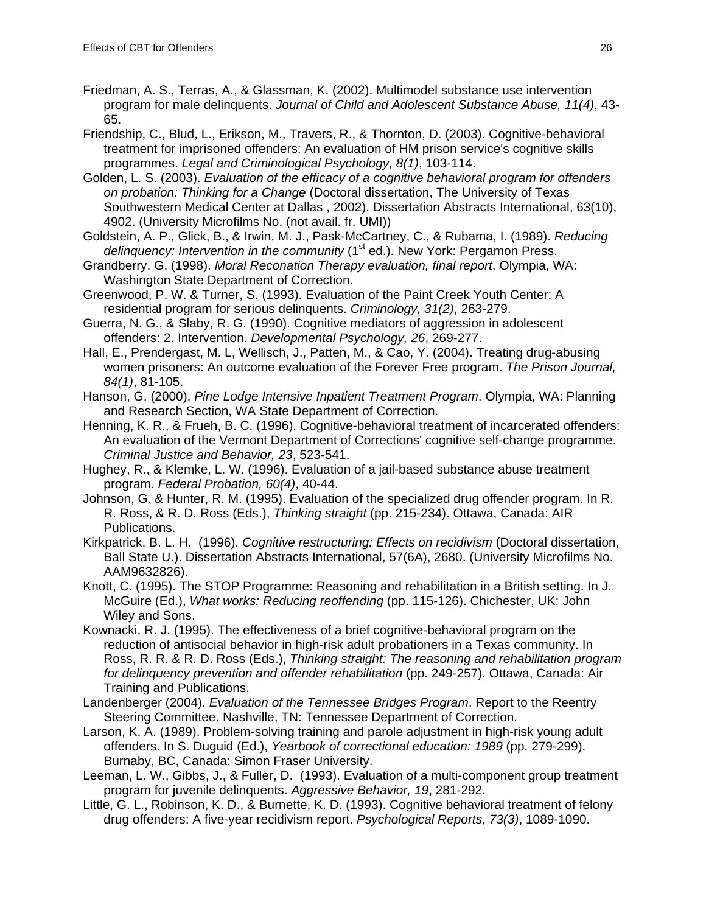- Friedman, A. S., Terras, A., & Glassman, K. (2002). Multimodel substance use intervention program for male delinquents. *Journal of Child and Adolescent Substance Abuse, 11(4)*, 43- 65.
- Friendship, C., Blud, L., Erikson, M., Travers, R., & Thornton, D. (2003). Cognitive-behavioral treatment for imprisoned offenders: An evaluation of HM prison service's cognitive skills programmes. *Legal and Criminological Psychology, 8(1)*, 103-114.
- Golden, L. S. (2003). *Evaluation of the efficacy of a cognitive behavioral program for offenders on probation: Thinking for a Change* (Doctoral dissertation, The University of Texas Southwestern Medical Center at Dallas , 2002). Dissertation Abstracts International, 63(10), 4902. (University Microfilms No. (not avail. fr. UMI))
- Goldstein, A. P., Glick, B., & Irwin, M. J., Pask-McCartney, C., & Rubama, I. (1989). *Reducing delinquency: Intervention in the community* (1<sup>st</sup> ed.). New York: Pergamon Press.
- Grandberry, G. (1998). *Moral Reconation Therapy evaluation, final report*. Olympia, WA: Washington State Department of Correction.
- Greenwood, P. W. & Turner, S. (1993). Evaluation of the Paint Creek Youth Center: A residential program for serious delinquents. *Criminology, 31(2)*, 263-279.
- Guerra, N. G., & Slaby, R. G. (1990). Cognitive mediators of aggression in adolescent offenders: 2. Intervention. *Developmental Psychology, 26*, 269-277.
- Hall, E., Prendergast, M. L, Wellisch, J., Patten, M., & Cao, Y. (2004). Treating drug-abusing women prisoners: An outcome evaluation of the Forever Free program. *The Prison Journal, 84(1)*, 81-105.
- Hanson, G. (2000). *Pine Lodge Intensive Inpatient Treatment Program*. Olympia, WA: Planning and Research Section, WA State Department of Correction.
- Henning, K. R., & Frueh, B. C. (1996). Cognitive-behavioral treatment of incarcerated offenders: An evaluation of the Vermont Department of Corrections' cognitive self-change programme. *Criminal Justice and Behavior, 23*, 523-541.
- Hughey, R., & Klemke, L. W. (1996). Evaluation of a jail-based substance abuse treatment program. *Federal Probation, 60(4)*, 40-44.
- Johnson, G. & Hunter, R. M. (1995). Evaluation of the specialized drug offender program. In R. R. Ross, & R. D. Ross (Eds.), *Thinking straight* (pp. 215-234). Ottawa, Canada: AIR Publications.
- Kirkpatrick, B. L. H. (1996). *Cognitive restructuring: Effects on recidivism* (Doctoral dissertation, Ball State U.). Dissertation Abstracts International, 57(6A), 2680. (University Microfilms No. AAM9632826).
- Knott, C. (1995). The STOP Programme: Reasoning and rehabilitation in a British setting. In J. McGuire (Ed.), *What works: Reducing reoffending* (pp. 115-126). Chichester, UK: John Wiley and Sons.
- Kownacki, R. J. (1995). The effectiveness of a brief cognitive-behavioral program on the reduction of antisocial behavior in high-risk adult probationers in a Texas community. In Ross, R. R. & R. D. Ross (Eds.), *Thinking straight: The reasoning and rehabilitation program for delinquency prevention and offender rehabilitation* (pp. 249-257). Ottawa, Canada: Air Training and Publications.
- Landenberger (2004). *Evaluation of the Tennessee Bridges Program*. Report to the Reentry Steering Committee. Nashville, TN: Tennessee Department of Correction.
- Larson, K. A. (1989). Problem-solving training and parole adjustment in high-risk young adult offenders. In S. Duguid (Ed.), *Yearbook of correctional education: 1989* (pp. 279-299). Burnaby, BC, Canada: Simon Fraser University.
- Leeman, L. W., Gibbs, J., & Fuller, D. (1993). Evaluation of a multi-component group treatment program for juvenile delinquents. *Aggressive Behavior, 19*, 281-292.
- Little, G. L., Robinson, K. D., & Burnette, K. D. (1993). Cognitive behavioral treatment of felony drug offenders: A five-year recidivism report. *Psychological Reports, 73(3)*, 1089-1090.